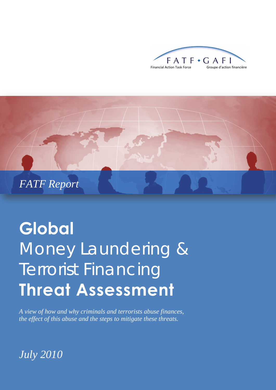



*A view of how and why criminals and terrorists abuse finances, the effect of this abuse and the steps to mitigate these threats.* 



*FATF Report*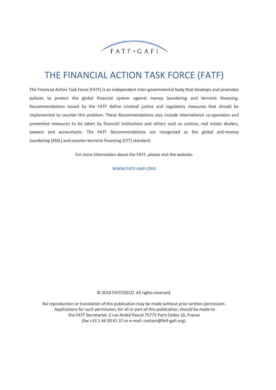

# THE FINANCIAL ACTION TASK FORCE (FATF)

The Financial Action Task Force (FATF) is an independent inter-governmental body that develops and promotes policies to protect the global financial system against money laundering and terrorist financing. Recommendations issued by the FATF define criminal justice and regulatory measures that should be implemented to counter this problem. These Recommendations also include international co-operation and preventive measures to be taken by financial institutions and others such as casinos, real estate dealers, lawyers and accountants. The FATF Recommendations are recognised as the global anti-money laundering (AML) and counter-terrorist financing (CFT) standard.

For more information about the FATF, please visit the website:

**WWW.FATF-GAFI.ORG**

© 2010 FATF/OECD. All rights reserved.

No reproduction or translation of this publication may be made without prior written permission. Applications for such permission, for all or part of this publication, should be made to the FATF Secretariat, 2 rue André Pascal 75775 Paris Cedex 16, France (fax +33 1 44 30 61 37 or e-mail[: contact@fatf-gafi.org\)](mailto:contact@fatf-gafi.org).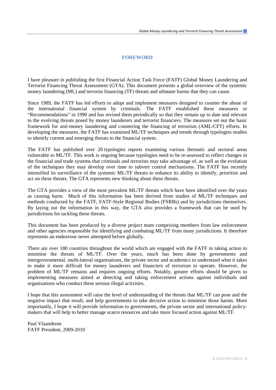## **FOREWORD**

I have pleasure in publishing the first Financial Action Task Force (FATF) Global Money Laundering and Terrorist Financing Threat Assessment (GTA). This document presents a global overview of the systemic money laundering (ML) and terrorist financing (TF) threats and ultimate harms that they can cause.

Since 1989, the FATF has led efforts to adopt and implement measures designed to counter the abuse of the international financial system by criminals. The FATF established these measures or "Recommendations" in 1990 and has revised them periodically so that they remain up to date and relevant to the evolving threats posed by money launderers and terrorist financiers. The measures set out the basic framework for anti-money laundering and countering the financing of terrorism (AML/CFT) efforts. In developing the measures, the FATF has examined ML/TF techniques and trends through typologies studies to identify current and emerging threats to the financial system.

The FATF has published over 20 typologies reports examining various thematic and sectoral areas vulnerable to ML/TF. This work is ongoing because typologies need to be re-assessed to reflect changes in the financial and trade systems that criminals and terrorists may take advantage of, as well as the evolution of the techniques they may develop over time to subvert control mechanisms. The FATF has recently intensified its surveillance of the systemic ML/TF threats to enhance its ability to identify, prioritise and act on these threats. The GTA represents new thinking about these threats.

The GTA provides a view of the most prevalent ML/TF threats which have been identified over the years as causing harm. Much of this information has been derived from studies of ML/TF techniques and methods conducted by the FATF, FATF-Style Regional Bodies (FSRBs) and by jurisdictions themselves. By laying out the information in this way, the GTA also provides a framework that can be used by jurisdictions for tackling these threats.

This document has been produced by a diverse project team comprising members from law enforcement and other agencies responsible for identifying and combating ML/TF from many jurisdictions. It therefore represents an endeavour never attempted before globally.

There are over 180 countries throughout the world which are engaged with the FATF in taking action to minimise the threats of ML/TF. Over the years, much has been done by governments and intergovernmental, multi-lateral organisations, the private sector and academics to understand what it takes to make it more difficult for money launderers and financiers of terrorism to operate. However, the problem of ML/TF remains and requires ongoing efforts. Notably, greater efforts should be given to implementing measures aimed at detecting and taking enforcement actions against individuals and organisations who conduct these serious illegal activities.

I hope that this assessment will raise the level of understanding of the threats that ML/TF can pose and the negative impact that result, and help governments to take decisive action to minimise those harms. More importantly, I hope it will provide information to governments, the private sector and international policymakers that will help to better manage scarce resources and take more focused action against ML/TF.

Paul Vlaanderen FATF President, 2009-2010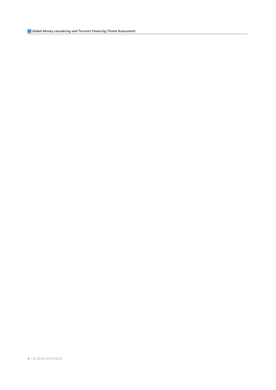4 - © 2010 FATF/OECD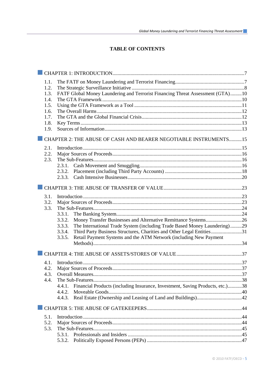# **TABLE OF CONTENTS**

| 1.1.<br>1.2.<br>1.3.<br>1.4.<br>1.5.<br>1.6.<br>1.7.<br>1.8.<br>1.9. | FATF Global Money Laundering and Terrorist Financing Threat Assessment (GTA)10                                                                                                                                                                                                                                                              |  |
|----------------------------------------------------------------------|---------------------------------------------------------------------------------------------------------------------------------------------------------------------------------------------------------------------------------------------------------------------------------------------------------------------------------------------|--|
|                                                                      | CHAPTER 2: THE ABUSE OF CASH AND BEARER NEGOTIABLE INSTRUMENTS15                                                                                                                                                                                                                                                                            |  |
| 2.1.<br>2.2.<br>2.3.                                                 | 2.3.3.                                                                                                                                                                                                                                                                                                                                      |  |
|                                                                      |                                                                                                                                                                                                                                                                                                                                             |  |
| 3.1.<br>3.2.<br>3.3.                                                 | 3.3.1.<br>Money Transfer Businesses and Alternative Remittance Systems26<br>3.3.2.<br>3.3.3.<br>The International Trade System (including Trade Based Money Laundering)29<br>Third Party Business Structures, Charities and Other Legal Entities31<br>3.3.4.<br>Retail Payment Systems and the ATM Network (including New Payment<br>3.3.5. |  |
|                                                                      |                                                                                                                                                                                                                                                                                                                                             |  |
| 4.1.<br>4.2.<br>4.3.<br>4.4.                                         | Financial Products (including Insurance, Investment, Saving Products, etc.)38<br>4.4.1.<br>4.4.2.<br>4.4.3.                                                                                                                                                                                                                                 |  |
|                                                                      |                                                                                                                                                                                                                                                                                                                                             |  |
| 5.1.<br>5.2.<br>5.3.                                                 | 5.3.2.                                                                                                                                                                                                                                                                                                                                      |  |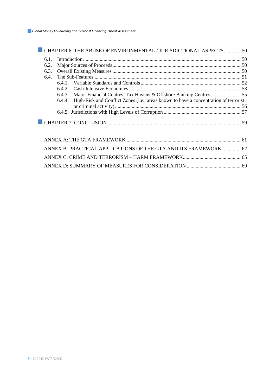|      | CHAPTER 6: THE ABUSE OF ENVIRONMENTAL / JURISDICTIONAL ASPECTS50                               |  |
|------|------------------------------------------------------------------------------------------------|--|
| 6.1. |                                                                                                |  |
| 6.2. |                                                                                                |  |
| 6.3. |                                                                                                |  |
|      |                                                                                                |  |
|      |                                                                                                |  |
|      |                                                                                                |  |
|      | 6.4.3. Major Financial Centres, Tax Havens & Offshore Banking Centres 55                       |  |
|      | High-Risk and Conflict Zones (i.e., areas known to have a concentration of terrorist<br>6.4.4. |  |
|      |                                                                                                |  |
|      |                                                                                                |  |
|      |                                                                                                |  |
|      |                                                                                                |  |

| ANNEX B: PRACTICAL APPLICATIONS OF THE GTA AND ITS FRAMEWORK 62 |  |
|-----------------------------------------------------------------|--|
|                                                                 |  |
|                                                                 |  |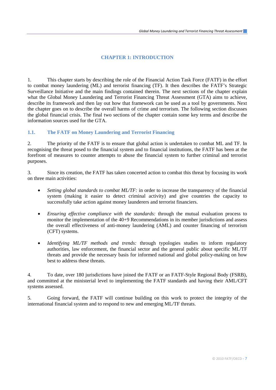## **CHAPTER 1: INTRODUCTION**

1. This chapter starts by describing the role of the Financial Action Task Force (FATF) in the effort to combat money laundering (ML) and terrorist financing (TF). It then describes the FATF's Strategic Surveillance Initiative and the main findings contained therein. The next sections of the chapter explain what the Global Money Laundering and Terrorist Financing Threat Assessment (GTA) aims to achieve, describe its framework and then lay out how that framework can be used as a tool by governments. Next the chapter goes on to describe the overall harms of crime and terrorism. The following section discusses the global financial crisis. The final two sections of the chapter contain some key terms and describe the information sources used for the GTA.

#### **1.1. The FATF on Money Laundering and Terrorist Financing**

2. The priority of the FATF is to ensure that global action is undertaken to combat ML and TF. In recognising the threat posed to the financial system and to financial institutions, the FATF has been at the forefront of measures to counter attempts to abuse the financial system to further criminal and terrorist purposes.

3. Since its creation, the FATF has taken concerted action to combat this threat by focusing its work on three main activities:

- *Setting global standards to combat ML/TF:* in order to increase the transparency of the financial system (making it easier to detect criminal activity) and give countries the capacity to successfully take action against money launderers and terrorist financiers.
- *Ensuring effective compliance with the standards:* through the mutual evaluation process to monitor the implementation of the 40+9 Recommendations in its member jurisdictions and assess the overall effectiveness of anti-money laundering (AML) and counter financing of terrorism (CFT) systems.
- *Identifying ML/TF methods and trends:* through typologies studies to inform regulatory authorities, law enforcement, the financial sector and the general public about specific ML/TF threats and provide the necessary basis for informed national and global policy-making on how best to address these threats.

4. To date, over 180 jurisdictions have joined the FATF or an FATF-Style Regional Body (FSRB), and committed at the ministerial level to implementing the FATF standards and having their AML/CFT systems assessed.

5. Going forward, the FATF will continue building on this work to protect the integrity of the international financial system and to respond to new and emerging ML/TF threats.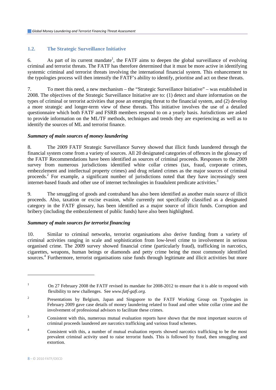# **1.2. The Strategic Surveillance Initiative**

6. As part of its current mandate<sup>1</sup>, the FATF aims to deepen the global surveillance of evolving criminal and terrorist threats. The FATF has therefore determined that it must be more active in identifying systemic criminal and terrorist threats involving the international financial system. This enhancement to the typologies process will then intensify the FATF's ability to identify, prioritise and act on these threats.

7. To meet this need, a new mechanism – the "Strategic Surveillance Initiative" – was established in 2008. The objectives of the Strategic Surveillance Initiative are to: (1) detect and share information on the types of criminal or terrorist activities that pose an emerging threat to the financial system, and (2) develop a more strategic and longer-term view of these threats. This initiative involves the use of a detailed questionnaire which both FATF and FSRB members respond to on a yearly basis. Jurisdictions are asked to provide information on the ML/TF methods, techniques and trends they are experiencing as well as to identify the sources of ML and terrorist finance.

### *Summary of main sources of money laundering*

8. The 2009 FATF Strategic Surveillance Survey showed that illicit funds laundered through the financial system come from a variety of sources. All 20 designated categories of offences in the glossary of the FATF Recommendations have been identified as sources of criminal proceeds. Responses to the 2009 survey from numerous jurisdictions identified white collar crimes (tax, fraud, corporate crimes, embezzlement and intellectual property crimes) and drug related crimes as the major sources of criminal proceeds.<sup>2</sup> For example, a significant number of jurisdictions noted that they have increasingly seen internet-based frauds and other use of internet technologies in fraudulent predicate activities.<sup>3</sup>

9. The smuggling of goods and contraband has also been identified as another main source of illicit proceeds. Also, taxation or excise evasion, while currently not specifically classified as a designated category in the FATF glossary, has been identified as a major source of illicit funds. Corruption and bribery (including the embezzlement of public funds) have also been highlighted.

### *Summary of main sources for terrorist financing*

10. Similar to criminal networks, terrorist organisations also derive funding from a variety of criminal activities ranging in scale and sophistication from low-level crime to involvement in serious organised crime. The 2009 survey showed financial crime (particularly fraud), trafficking in narcotics, cigarettes, weapons, human beings or diamonds and petty crime being the most commonly identified sources.<sup>4</sup> Furthermore, terrorist organisations raise funds through legitimate and illicit activities but more

<sup>&</sup>lt;sup>1</sup> On 27 February 2008 the FATF revised its mandate for 2008-2012 to ensure that it is able to respond with flexibility to new challenges. See *www.fatf-gafi.org*.

<sup>&</sup>lt;sup>2</sup> Presentations by Belgium, Japan and Singapore to the FATF Working Group on Typologies in February 2009 gave case details of money laundering related to fraud and other white collar crime and the involvement of professional advisors to facilitate these crimes.

<sup>&</sup>lt;sup>3</sup> Consistent with this, numerous mutual evaluation reports have shown that the most important sources of criminal proceeds laundered are narcotics trafficking and various fraud schemes.

<sup>&</sup>lt;sup>4</sup> Consistent with this, a number of mutual evaluation reports showed narcotics trafficking to be the most prevalent criminal activity used to raise terrorist funds. This is followed by fraud, then smuggling and extortion.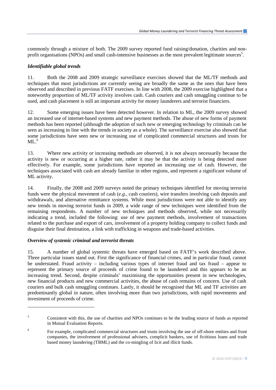commonly through a mixture of both. The 2009 survey reported fund raising/donation, charities and nonprofit organisations (NPOs) and small cash-intensive businesses as the most prevalent legitimate sources<sup>5</sup>.

## *Identifiable global trends*

11. Both the 2008 and 2009 strategic surveillance exercises showed that the ML/TF methods and techniques that most jurisdictions are currently seeing are broadly the same as the ones that have been observed and described in previous FATF exercises. In line with 2008, the 2009 exercise highlighted that a noteworthy proportion of ML/TF activity involves cash. Cash couriers and cash smuggling continue to be used, and cash placement is still an important activity for money launderers and terrorist financiers.

12. Some emerging issues have been detected however. In relation to ML, the 2009 survey showed an increased use of internet-based systems and new payment methods. The abuse of new forms of payment methods has been reported (although the adoption of such new or emerging technology by criminals can be seen as increasing in line with the trends in society as a whole). The surveillance exercise also showed that some jurisdictions have seen new or increasing use of complicated commercial structures and trusts for  $ML.<sup>6</sup>$ 

13. Where new activity or increasing methods are observed, it is not always necessarily because the activity is new or occurring at a higher rate, rather it may be that the activity is being detected more effectively. For example, some jurisdictions have reported an increasing use of cash. However, the techniques associated with cash are already familiar in other regions, and represent a significant volume of ML activity.

14. Finally, the 2008 and 2009 surveys noted the primary techniques identified for moving terrorist funds were the physical movement of cash (*e.g.,* cash couriers), wire transfers involving cash deposits and withdrawals, and alternative remittance systems. While most jurisdictions were not able to identify any new trends in moving terrorist funds in 2009, a wide range of new techniques were identified from the remaining respondents. A number of new techniques and methods observed, while not necessarily indicating a trend, included the following: use of new payment methods, involvement of transactions related to the purchase and export of cars, involvement of a property holding company to collect funds and disguise their final destination, a link with trafficking in weapons and trade-based activities.

### *Overview of systemic criminal and terrorist threats*

 $\overline{a}$ 

15. A number of global systemic threats have emerged based on FATF's work described above. Three particular issues stand out. First the significance of financial crimes, and in particular fraud, cannot be understated. Fraud activity – including various types of internet fraud and tax fraud – appear to represent the primary source of proceeds of crime found to be laundered and this appears to be an increasing trend. Second, despite criminals' maximising the opportunities present in new technologies, new financial products and new commercial activities, the abuse of cash remains of concern. Use of cash couriers and bulk cash smuggling continues. Lastly, it should be recognised that ML and TF activities are predominantly global in nature, often involving more than two jurisdictions, with rapid movements and investment of proceeds of crime.

<sup>&</sup>lt;sup>5</sup> Consistent with this, the use of charities and NPOs continues to be the leading source of funds as reported in Mutual Evaluation Reports.

<sup>&</sup>lt;sup>6</sup> For example, complicated commercial structures and trusts involving the use of off-shore entities and front companies, the involvement of professional advisers, complicit bankers, use of fictitious loans and trade based money laundering (TBML) and the co-mingling of licit and illicit funds.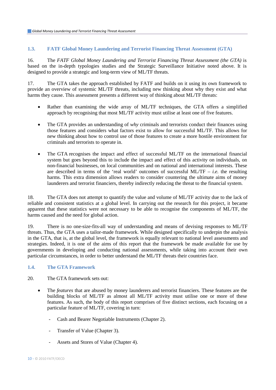# **1.3. FATF Global Money Laundering and Terrorist Financing Threat Assessment (GTA)**

16. The *FATF Global Money Laundering and Terrorist Financing Threat Assessment (the GTA)* is based on the in-depth typologies studies and the Strategic Surveillance Initiative noted above. It is designed to provide a strategic and long-term view of ML/TF threats.

17. The GTA takes the approach established by FATF and builds on it using its own framework to provide an overview of systemic ML/TF threats, including new thinking about why they exist and what harms they cause. This assessment presents a different way of thinking about ML/TF threats:

- Rather than examining the wide array of ML/TF techniques, the GTA offers a simplified approach by recognising that most ML/TF activity must utilise at least one of five features.
- The GTA provides an understanding of *why* criminals and terrorists conduct their finances using those features and considers what factors exist to allow for successful ML/TF. This allows for new thinking about how to control use of those features to create a more hostile environment for criminals and terrorists to operate in.
- The GTA recognises the impact and effect of successful ML/TF on the international financial system but goes beyond this to include the impact and effect of this activity on individuals, on non-financial businesses, on local communities and on national and international interests. These are described in terms of the 'real world' outcomes of successful ML/TF – *i.e.* the resulting harms. This extra dimension allows readers to consider countering the ultimate aims of money launderers and terrorist financiers, thereby indirectly reducing the threat to the financial system.

18. The GTA does not attempt to quantify the value and volume of ML/TF activity due to the lack of reliable and consistent statistics at a global level. In carrying out the research for this project, it became apparent that these statistics were not necessary to be able to recognise the components of ML/TF, the harms caused and the need for global action.

19. There is no one-size-fits-all way of understanding and means of devising responses to ML/TF threats. Thus, the GTA uses a tailor-made framework. While designed specifically to underpin the analysis in the GTA, that is, at the global level, the framework is equally relevant to national level assessments and strategies. Indeed, it is one of the aims of this report that the framework be made available for use by governments in developing and conducting national assessments, while taking into account their own particular circumstances, in order to better understand the ML/TF threats their countries face.

#### **1.4. The GTA Framework**

- 20. The GTA framework sets out:
	- The *features* that are abused by money launderers and terrorist financiers. These features are the building blocks of ML/TF as almost all ML/TF activity must utilise one or more of these features. As such, the body of this report comprises of five distinct sections, each focusing on a particular feature of ML/TF, covering in turn:
		- Cash and Bearer Negotiable Instruments (Chapter 2).
		- Transfer of Value (Chapter 3).
		- Assets and Stores of Value (Chapter 4).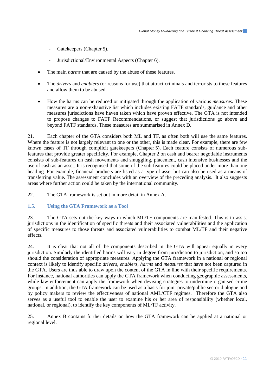- Gatekeepers (Chapter 5).
- Jurisdictional/Environmental Aspects (Chapter 6).
- The main *harms* that are caused by the abuse of these features.
- The *drivers* and *enablers* (or reasons for use) that attract criminals and terrorists to these features and allow them to be abused.
- How the harms can be reduced or mitigated through the application of various *measures.* These measures are a non-exhaustive list which includes existing FATF standards, guidance and other measures jurisdictions have haven taken which have proven effective. The GTA is not intended to propose changes to FATF Recommendations, or suggest that jurisdictions go above and beyond FATF standards. These measures are summarised in Annex D.

21. Each chapter of the GTA considers both ML and TF, as often both will use the same features. Where the feature is not largely relevant to one or the other, this is made clear. For example, there are few known cases of TF through complicit gatekeepers (Chapter 5). Each feature consists of numerous subfeatures that provide greater specificity. For example, Chapter 2 on cash and bearer negotiable instruments consists of sub-features on cash movements and smuggling, placement, cash intensive businesses and the use of cash as an asset. It is recognised that some of the sub-features could be placed under more than one heading. For example, financial products are listed as a type of asset but can also be used as a means of transferring value. The assessment concludes with an overview of the preceding analysis. It also suggests areas where further action could be taken by the international community.

22. The GTA framework is set out in more detail in Annex A.

#### **1.5. Using the GTA Framework as a Tool**

23. The GTA sets out the key ways in which ML/TF components are manifested. This is to assist jurisdictions in the identification of specific threats and their associated vulnerabilities and the application of specific measures to those threats and associated vulnerabilities to combat ML/TF and their negative effects.

24. It is clear that not all of the components described in the GTA will appear equally in every jurisdiction. Similarly the identified harms will vary in degree from jurisdiction to jurisdiction, and so too should the consideration of appropriate measures. Applying the GTA framework in a national or regional context is likely to identify specific *drivers, enablers, harms* and *measures* that have not been captured in the GTA. Users are thus able to draw upon the content of the GTA in line with their specific requirements. For instance, national authorities can apply the GTA framework when conducting geographic assessments, while law enforcement can apply the framework when devising strategies to undermine organised crime groups. In addition, the GTA framework can be used as a basis for joint private/public sector dialogue and by policy makers to review the effectiveness of national AML/CTF regimes. Therefore the GTA also serves as a useful tool to enable the user to examine his or her area of responsibility (whether local, national, or regional), to identify the key components of ML/TF activity.

25. Annex B contains further details on how the GTA framework can be applied at a national or regional level.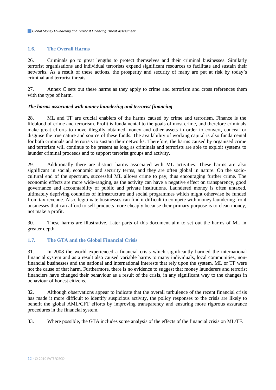# **1.6. The Overall Harms**

26. Criminals go to great lengths to protect themselves and their criminal businesses. Similarly terrorist organisations and individual terrorists expend significant resources to facilitate and sustain their networks. As a result of these actions, the prosperity and security of many are put at risk by today's criminal and terrorist threats.

27. Annex C sets out these harms as they apply to crime and terrorism and cross references them with the type of harm.

### *The harms associated with money laundering and terrorist financing*

28. ML and TF are crucial enablers of the harms caused by crime and terrorism. Finance is the lifeblood of crime and terrorism. Profit is fundamental to the goals of most crime, and therefore criminals make great efforts to move illegally obtained money and other assets in order to convert, conceal or disguise the true nature and source of these funds. The availability of working capital is also fundamental for both criminals and terrorists to sustain their networks. Therefore, the harms caused by organised crime and terrorism will continue to be present as long as criminals and terrorists are able to exploit systems to launder criminal proceeds and to support terrorist groups and activity.

29. Additionally there are distinct harms associated with ML activities. These harms are also significant in social, economic and security terms, and they are often global in nature. On the sociocultural end of the spectrum, successful ML allows crime to pay, thus encouraging further crime. The economic effects are more wide-ranging, as the activity can have a negative effect on transparency, good governance and accountability of public and private institutions. Laundered money is often untaxed, ultimately depriving countries of infrastructure and social programmes which might otherwise be funded from tax revenue. Also, legitimate businesses can find it difficult to compete with money laundering front businesses that can afford to sell products more cheaply because their primary purpose is to clean money, not make a profit.

30. These harms are illustrative. Later parts of this document aim to set out the harms of ML in greater depth.

### **1.7. The GTA and the Global Financial Crisis**

31. In 2008 the world experienced a financial crisis which significantly harmed the international financial system and as a result also caused variable harms to many individuals, local communities, nonfinancial businesses and the national and international interests that rely upon the system. ML or TF were not the cause of that harm. Furthermore, there is no evidence to suggest that money launderers and terrorist financiers have changed their behaviour as a result of the crisis, in any significant way to the changes in behaviour of honest citizens.

32. Although observations appear to indicate that the overall turbulence of the recent financial crisis has made it more difficult to identify suspicious activity, the policy responses to the crisis are likely to benefit the global AML/CFT efforts by improving transparency and ensuring more rigorous assurance procedures in the financial system.

33. Where possible, the GTA includes some analysis of the effects of the financial crisis on ML/TF.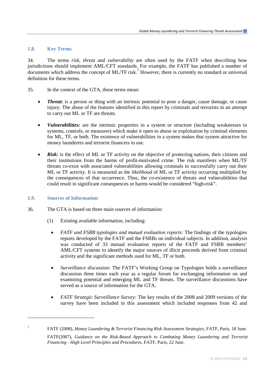# **1.8. Key Terms**

34. The terms *risk*, *threat* and *vulnerability* are often used by the FATF when describing how jurisdictions should implement AML/CFT standards. For example, the FATF has published a number of documents which address the concept of ML/TF risk.<sup>7</sup> However, there is currently no standard or universal definition for these terms.

- 35. In the context of the GTA, these terms mean:
	- *Threat:* is a person or thing with an intrinsic potential to pose a danger, cause damage, or cause injury. The abuse of the features identified in this report by criminals and terrorists in an attempt to carry out ML or TF are threats.
	- *Vulnerabilities:* are the intrinsic properties in a system or structure (including weaknesses in systems, controls, or measures) which make it open to abuse or exploitation by criminal elements for ML, TF, or both. The existence of vulnerabilities in a system makes that system attractive for money launderers and terrorist financers to use.
	- **Risk:** is the effect of ML or TF activity on the objective of protecting nations, their citizens and their institutions from the harms of profit-motivated crime. The risk manifests when ML/TF threats co-exist with associated vulnerabilities allowing criminals to successfully carry out their ML or TF activity. It is measured as the *likelihood* of ML or TF activity occurring multiplied by the consequences of that occurrence. Thus, the co-existence of threats and vulnerabilities that could result in significant consequences or harms would be considered "high-risk".

### **1.9. Sources of Information**

- 36. The GTA is based on three main sources of information:
	- (1) Existing available information, including:
		- *FATF and FSRB typologies and mutual evaluation reports:* The findings of the typologies reports developed by the FATF and the FSRBs on individual subjects. In addition, analysis was conducted of 33 mutual evaluation reports of the FATF and FSRB members' AML/CFT systems to identify the major sources of illicit proceeds derived from criminal activity and the significant methods used for ML, TF or both.
		- *Surveillance discussion:* The FATF's Working Group on Typologies holds a surveillance discussion three times each year as a regular forum for exchanging information on and examining potential and emerging ML and TF threats. The surveillance discussions have served as a source of information for the GTA.
		- *FATF Strategic Surveillance Survey:* The key results of the 2008 and 2009 versions of the survey have been included in this assessment which included responses from 42 and

<sup>7</sup> FATF (2008), *Money Laundering & Terrorist Financing Risk Assessment Strategies,* FATF, Paris, 18 June. FATF(2007), *Guidance on the Risk-Based Approach to Combating Money Laundering and Terrorist Financing - High Level Principles and Procedures*, FATF, Paris, 22 June.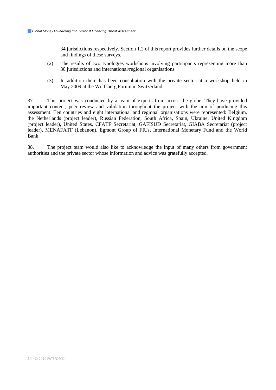34 jurisdictions respectively. Section 1.2 of this report provides further details on the scope and findings of these surveys.

- (2) The results of two typologies workshops involving participants representing more than 30 jurisdictions and international/regional organisations.
- (3) In addition there has been consultation with the private sector at a workshop held in May 2009 at the Wolfsberg Forum in Switzerland.

37. This project was conducted by a team of experts from across the globe. They have provided important content, peer review and validation throughout the project with the aim of producing this assessment. Ten countries and eight international and regional organisations were represented: Belgium, the Netherlands (project leader), Russian Federation, South Africa, Spain, Ukraine, United Kingdom (project leader), United States, CFATF Secretariat, GAFISUD Secretariat, GIABA Secretariat (project leader), MENAFATF (Lebanon), Egmont Group of FIUs, International Monetary Fund and the World Bank.

38. The project team would also like to acknowledge the input of many others from government authorities and the private sector whose information and advice was gratefully accepted.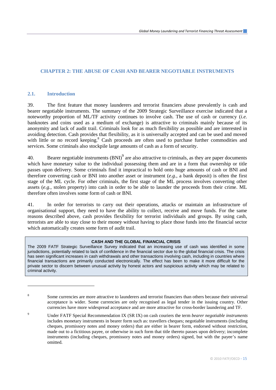## **CHAPTER 2: THE ABUSE OF CASH AND BEARER NEGOTIABLE INSTRUMENTS**

#### **2.1. Introduction**

 $\overline{a}$ 

39. The first feature that money launderers and terrorist financiers abuse prevalently is cash and bearer negotiable instruments. The summary of the 2009 Strategic Surveillance exercise indicated that a noteworthy proportion of ML/TF activity continues to involve cash. The use of cash or currency (*i.e.* banknotes and coins used as a medium of exchange) is attractive to criminals mainly because of its anonymity and lack of audit trail. Criminals look for as much flexibility as possible and are interested in avoiding detection. Cash provides that flexibility, as it is universally accepted and can be used and moved with little or no record keeping.<sup>8</sup> Cash proceeds are often used to purchase further commodities and services. Some criminals also stockpile large amounts of cash as a form of security.

40. Bearer negotiable instruments  $(BNI)^9$  are also attractive to criminals, as they are paper documents which have monetary value to the individual possessing them and are in a form that ownership or title passes upon delivery. Some criminals find it impractical to hold onto huge amounts of cash or BNI and therefore converting cash or BNI into another asset or instrument (*e.g.,* a bank deposit) is often the first stage of the ML cycle. For other criminals, the first stage of the ML process involves converting other assets (*e.g.,* stolen property) into cash in order to be able to launder the proceeds from their crime. ML therefore often involves some form of cash or BNI.

41. In order for terrorists to carry out their operations, attacks or maintain an infrastructure of organisational support, they need to have the ability to collect, receive and move funds. For the same reasons described above, cash provides flexibility for terrorist individuals and groups. By using cash, terrorists are able to stay close to their money without having to place those funds into the financial sector which automatically creates some form of audit trail.

#### **CASH AND THE GLOBAL FINANCIAL CRISIS**

The 2009 FATF Strategic Surveillance Survey indicated that an increasing use of cash was identified in some jurisdictions, potentially related to lack of confidence in the financial sector due to the global financial crisis. The crisis has seen significant increases in cash withdrawals and other transactions involving cash, including in countries where financial transactions are primarily conducted electronically. The effect has been to make it more difficult for the private sector to discern between unusual activity by honest actors and suspicious activity which may be related to criminal activity.

<sup>8</sup> Some currencies are more attractive to launderers and terrorist financiers than others because their universal acceptance is wider. Some currencies are only recognised as legal tender in the issuing country. Other currencies have more widespread acceptance and are more attractive for cross-border laundering and TF.

<sup>9</sup> Under FATF Special Recommendation IX (SR IX) on cash couriers the term *bearer negotiable instruments*  includes monetary instruments in bearer form such as: travellers cheques; negotiable instruments (including cheques, promissory notes and money orders) that are either in bearer form, endorsed without restriction, made out to a fictitious payee, or otherwise in such form that title thereto passes upon delivery; incomplete instruments (including cheques, promissory notes and money orders) signed, but with the payee's name omitted.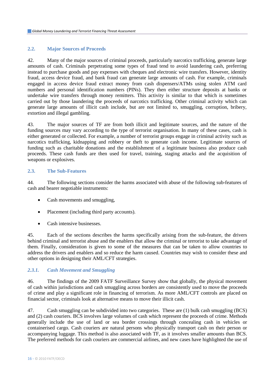## **2.2. Major Sources of Proceeds**

42. Many of the major sources of criminal proceeds, particularly narcotics trafficking, generate large amounts of cash. Criminals perpetrating some types of fraud tend to avoid laundering cash, preferring instead to purchase goods and pay expenses with cheques and electronic wire transfers. However, identity fraud, access device fraud, and bank fraud can generate large amounts of cash. For example, criminals engaged in access device fraud extract money from cash dispensers/ATMs using stolen ATM card numbers and personal identification numbers (PINs). They then either structure deposits at banks or undertake wire transfers through money remitters. This activity is similar to that which is sometimes carried out by those laundering the proceeds of narcotics trafficking. Other criminal activity which can generate large amounts of illicit cash include, but are not limited to, smuggling, corruption, bribery, extortion and illegal gambling.

43. The major sources of TF are from both illicit and legitimate sources, and the nature of the funding sources may vary according to the type of terrorist organisation. In many of these cases, cash is either generated or collected. For example, a number of terrorist groups engage in criminal activity such as narcotics trafficking, kidnapping and robbery or theft to generate cash income. Legitimate sources of funding such as charitable donations and the establishment of a legitimate business also produce cash proceeds. These cash funds are then used for travel, training, staging attacks and the acquisition of weapons or explosives.

#### **2.3. The Sub-Features**

44. The following sections consider the harms associated with abuse of the following sub-features of cash and bearer negotiable instruments:

- Cash movements and smuggling,
- Placement (including third party accounts).
- Cash intensive businesses.

45. Each of the sections describes the harms specifically arising from the sub-feature, the drivers behind criminal and terrorist abuse and the enablers that allow the criminal or terrorist to take advantage of them. Finally, consideration is given to some of the measures that can be taken to allow countries to address the drivers and enablers and so reduce the harm caused. Countries may wish to consider these and other options in designing their AML/CFT strategies.

#### *2.3.1. Cash Movement and Smuggling*

46. The findings of the 2009 FATF Surveillance Survey show that globally, the physical movement of cash within jurisdictions and cash smuggling across borders are consistently used to move the proceeds of crime and play a significant role in financing of terrorism. As more AML/CFT controls are placed on financial sector, criminals look at alternative means to move their illicit cash.

47. Cash smuggling can be subdivided into two categories. These are (1) bulk cash smuggling (BCS) and (2) cash couriers. BCS involves large volumes of cash which represent the proceeds of crime. Methods generally include the use of land or sea border crossings through concealing cash in vehicles or containerised cargo. Cash couriers are natural persons who physically transport cash on their person or accompanying luggage. This method is also associated with TF, as it involves smaller amounts than BCS. The preferred methods for cash couriers are commercial airlines, and new cases have highlighted the use of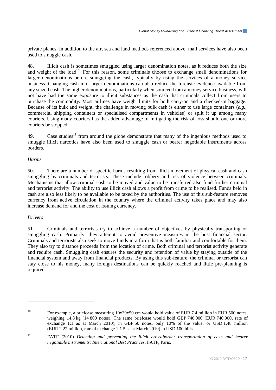private planes. In addition to the air, sea and land methods referenced above, mail services have also been used to smuggle cash.

48. Illicit cash is sometimes smuggled using larger denomination notes, as it reduces both the size and weight of the load<sup>10</sup>. For this reason, some criminals choose to exchange small denominations for larger denominations before smuggling the cash, typically by using the services of a money service business. Changing cash into larger denominations can also reduce the forensic evidence available from any seized cash: The higher denominations, particularly when sourced from a money service business, will not have had the same exposure to illicit substances as the cash that criminals collect from users to purchase the commodity. Most airlines have weight limits for both carry-on and a checked-in baggage. Because of its bulk and weight, the challenge in moving bulk cash is either to use large containers (*e.g.,*  commercial shipping containers or specialised compartments in vehicles) or split it up among many couriers. Using many couriers has the added advantage of mitigating the risk of loss should one or more couriers be stopped.

49. Case studies<sup>11</sup> from around the globe demonstrate that many of the ingenious methods used to smuggle illicit narcotics have also been used to smuggle cash or bearer negotiable instruments across borders.

#### *Harms*

50. There are a number of specific harms resulting from illicit movement of physical cash and cash smuggling by criminals and terrorists. These include robbery and risk of violence between criminals. Mechanisms that allow criminal cash to be moved and value to be transferred also fund further criminal and terrorist activity. The ability to use illicit cash allows a profit from crime to be realised. Funds held in cash are also less likely to be available to be taxed by the authorities. The use of this sub-feature removes currency from active circulation in the country where the criminal activity takes place and may also increase demand for and the cost of issuing currency.

#### *Drivers*

 $\overline{a}$ 

51. Criminals and terrorists try to achieve a number of objectives by physically transporting or smuggling cash. Primarily, they attempt to avoid preventive measures in the host financial sector. Criminals and terrorists also seek to move funds in a form that is both familiar and comfortable for them. They also try to distance proceeds from the location of crime. Both criminal and terrorist activity generate and require cash. Smuggling cash ensures the security and retention of value by staying outside of the financial system and away from financial products. By using this sub-feature, the criminal or terrorist can stay close to his money, many foreign destinations can be quickly reached and little pre-planning is required.

<sup>&</sup>lt;sup>10</sup> For example, a briefcase measuring  $10x39x50$  cm would hold value of EUR 7.4 million in EUR 500 notes, weighing 14.8 kg (14 800 notes). The same briefcase would hold GBP 740 000 (EUR 740 000, rate of exchange 1:1 as at March 2010), in GBP 50 notes, only 10% of the value, or USD 1.48 million (EUR 2.22 million, rate of exchange 1:1.5 as at March 2010) in USD 100 bills.

<sup>11</sup> FATF (2010) *Detecting and preventing the illicit cross-border transportation of cash and bearer negotiable instruments: International Best Practices,* FATF, Paris.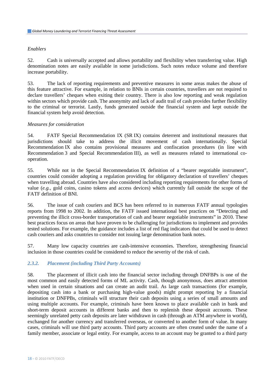#### *Enablers*

52. Cash is universally accepted and allows portability and flexibility when transferring value. High denomination notes are easily available in some jurisdictions. Such notes reduce volume and therefore increase portability.

53. The lack of reporting requirements and preventive measures in some areas makes the abuse of this feature attractive. For example, in relation to BNIs in certain countries, travellers are not required to declare travellers' cheques when exiting their country. There is also low reporting and weak regulation within sectors which provide cash. The anonymity and lack of audit trail of cash provides further flexibility to the criminal or terrorist. Lastly, funds generated outside the financial system and kept outside the financial system help avoid detection.

#### *Measures for consideration*

54. FATF Special Recommendation IX (SR IX) contains deterrent and institutional measures that jurisdictions should take to address the illicit movement of cash internationally. Special Recommendation IX also contains provisional measures and confiscation procedures (in line with Recommendation 3 and Special Recommendation III), as well as measures related to international cooperation.

55. While not in the Special Recommendation IX definition of a "bearer negotiable instrument", countries could consider adopting a regulation providing for obligatory declaration of travellers' cheques when travelling abroad. Countries have also considered including reporting requirements for other forms of value (*e.g.,* gold coins, casino tokens and access devices) which currently fall outside the scope of the FATF definition of BNI.

56. The issue of cash couriers and BCS has been referred to in numerous FATF annual typologies reports from 1998 to 2002. In addition, the FATF issued international best practices on "Detecting and preventing the illicit cross-border transportation of cash and bearer negotiable instruments" in 2010. These best practices focus on areas that have proven to be challenging for jurisdictions to implement and provides tested solutions. For example, the guidance includes a list of red flag indicators that could be used to detect cash couriers and asks countries to consider not issuing large denomination bank notes.

57. Many low capacity countries are cash-intensive economies. Therefore, strengthening financial inclusion in those countries could be considered to reduce the severity of the risk of cash.

## *2.3.2. Placement (including Third Party Accounts)*

58. The placement of illicit cash into the financial sector including through DNFBPs is one of the most common and easily detected forms of ML activity. Cash, though anonymous, does attract attention when used in certain situations and can create an audit trail. As large cash transactions (for example, depositing cash into a bank or purchasing high-value goods) might prompt reporting by a financial institution or DNFPBs, criminals will structure their cash deposits using a series of small amounts and using multiple accounts. For example, criminals have been known to place available cash in bank and short-term deposit accounts in different banks and then to replenish these deposit accounts. These seemingly unrelated petty cash deposits are later withdrawn in cash (through an ATM anywhere in world), exchanged for another currency and transferred overseas, or converted to another form of value. In many cases, criminals will use third party accounts. Third party accounts are often created under the name of a family member, associate or legal entity. For example, access to an account may be granted to a third party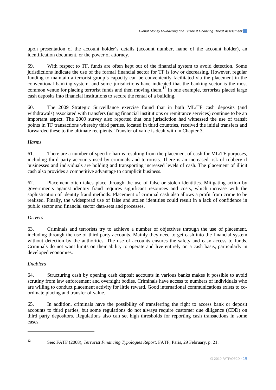upon presentation of the account holder's details (account number, name of the account holder), an identification document, or the power of attorney.

59. With respect to TF, funds are often kept out of the financial system to avoid detection. Some jurisdictions indicate the use of the formal financial sector for TF is low or decreasing. However, regular funding to maintain a terrorist group's capacity can be conveniently facilitated via the placement in the conventional banking system, and some jurisdictions have indicated that the banking sector is the most common venue for placing terrorist funds and then moving them.<sup>12</sup> In one example, terrorists placed large cash deposits into financial institutions to secure the rental of a building.

60. The 2009 Strategic Surveillance exercise found that in both ML/TF cash deposits (and withdrawals) associated with transfers (using financial institutions or remittance services) continue to be an important aspect. The 2009 survey also reported that one jurisdiction had witnessed the use of transit points in TF transactions whereby third parties, located in third countries, received the initial transfers and forwarded these to the ultimate recipients. Transfer of value is dealt with in Chapter 3.

### *Harms*

61. There are a number of specific harms resulting from the placement of cash for ML/TF purposes, including third party accounts used by criminals and terrorists. There is an increased risk of robbery if businesses and individuals are holding and transporting increased levels of cash. The placement of illicit cash also provides a competitive advantage to complicit business.

62. Placement often takes place through the use of false or stolen identities. Mitigating action by governments against identity fraud requires significant resources and costs, which increase with the sophistication of identity fraud methods. Placement of criminal cash also allows a profit from crime to be realised. Finally, the widespread use of false and stolen identities could result in a lack of confidence in public sector and financial sector data-sets and processes.

### *Drivers*

63. Criminals and terrorists try to achieve a number of objectives through the use of placement, including through the use of third party accounts. Mainly they need to get cash into the financial system without detection by the authorities. The use of accounts ensures the safety and easy access to funds. Criminals do not want limits on their ability to operate and live entirely on a cash basis, particularly in developed economies.

### *Enablers*

64. Structuring cash by opening cash deposit accounts in various banks makes it possible to avoid scrutiny from law enforcement and oversight bodies. Criminals have access to numbers of individuals who are willing to conduct placement activity for little reward. Good international communications exists to coordinate placing and transfer of value.

65. In addition, criminals have the possibility of transferring the right to access bank or deposit accounts to third parties, but some regulations do not always require customer due diligence (CDD) on third party depositors. Regulations also can set high thresholds for reporting cash transactions in some cases.

<sup>12</sup> See: FATF (2008), *Terrorist Financing Typologies Report*, FATF, Paris, 29 February, p. 21.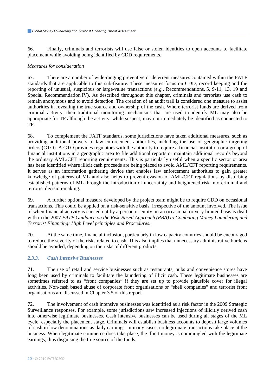66. Finally, criminals and terrorists will use false or stolen identities to open accounts to facilitate placement while avoiding being identified by CDD requirements.

#### *Measures for consideration*

67. There are a number of wide-ranging preventive or deterrent measures contained within the FATF standards that are applicable to this sub-feature. These measures focus on CDD, record keeping and the reporting of unusual, suspicious or large-value transactions (*e.g.,* Recommendations. 5, 9-11, 13, 19 and Special Recommendation IV). As described throughout this chapter, criminals and terrorists use cash to remain anonymous and to avoid detection. The creation of an audit trail is considered one measure to assist authorities in revealing the true source and ownership of the cash. Where terrorist funds are derived from criminal activity, then traditional monitoring mechanisms that are used to identify ML may also be appropriate for TF although the activity, while suspect, may not immediately be identified as connected to TF.

68. To complement the FATF standards, some jurisdictions have taken additional measures, such as providing additional powers to law enforcement authorities, including the use of geographic targeting orders (GTO). A GTO provides regulators with the authority to require a financial institution or a group of financial institutions in a geographic area to file additional reports or maintain additional records beyond the ordinary AML/CFT reporting requirements. This is particularly useful when a specific sector or area has been identified where illicit cash proceeds are being placed to avoid AML/CFT reporting requirements. It serves as an information gathering device that enables law enforcement authorities to gain greater knowledge of patterns of ML and also helps to prevent evasion of AML/CFT regulations by disturbing established patterns of ML through the introduction of uncertainty and heightened risk into criminal and terrorist decision-making.

69. A further optional measure developed by the project team might be to require CDD on occasional transactions. This could be applied on a risk-sensitive basis, irrespective of the amount involved. The issue of when financial activity is carried out by a person or entity on an occasional or very limited basis is dealt with in the 2007 *FATF Guidance on the Risk-Based Approach (RBA) to Combating Money Laundering and Terrorist Financing: High Level principles and Procedures*.

70. At the same time, financial inclusion, particularly in low capacity countries should be encouraged to reduce the severity of the risks related to cash. This also implies that unnecessary administrative burdens should be avoided, depending on the risks of different products.

## *2.3.3. Cash Intensive Businesses*

71. The use of retail and service businesses such as restaurants, pubs and convenience stores have long been used by criminals to facilitate the laundering of illicit cash. These legitimate businesses are sometimes referred to as "front companies" if they are set up to provide plausible cover for illegal activities. Non-cash based abuse of corporate front organisations or "shell companies" and terrorist front organisations are discussed in Chapter 3.5 of this report.

72. The involvement of cash intensive businesses was identified as a risk factor in the 2009 Strategic Surveillance responses. For example, some jurisdictions saw increased injections of illicitly derived cash into otherwise legitimate businesses. Cash intensive businesses can be used during all stages of the ML cycle, especially the placement stage. Criminals will establish business accounts to deposit large volumes of cash in low denominations as daily earnings. In many cases, no legitimate transactions take place at the business. When legitimate commerce does take place, the illicit money is commingled with the legitimate earnings, thus disguising the true source of the funds.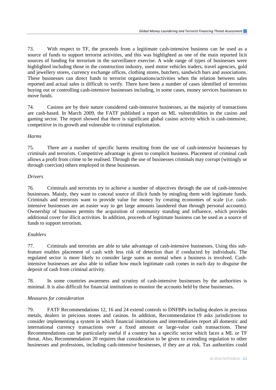73. With respect to TF, the proceeds from a legitimate cash-intensive business can be used as a source of funds to support terrorist activities, and this was highlighted as one of the main reported licit sources of funding for terrorism in the surveillance exercise. A wide range of types of businesses were highlighted including those in the construction industry, used motor vehicles traders, travel agencies, gold and jewellery stores, currency exchange offices, clothing stores, butchers, sandwich bars and associations. These businesses can direct funds to terrorist organisations/activities when the relation between sales reported and actual sales is difficult to verify. There have been a number of cases identified of terrorists buying out or controlling cash-intensive businesses including, in some cases, money services businesses to move funds.

74. Casinos are by their nature considered cash-intensive businesses, as the majority of transactions are cash-based. In March 2009, the FATF published a report on ML vulnerabilities in the casino and gaming sector. The report showed that there is significant global casino activity which is cash-intensive, competitive in its growth and vulnerable to criminal exploitation.

#### *Harms*

75. There are a number of specific harms resulting from the use of cash-intensive businesses by criminals and terrorists. Competitive advantage is given to complicit business. Placement of criminal cash allows a profit from crime to be realised. Through the use of businesses criminals may corrupt (wittingly or through coercion) others employed in these businesses.

#### *Drivers*

76. Criminals and terrorists try to achieve a number of objectives through the use of cash-intensive businesses. Mainly, they want to conceal source of illicit funds by mingling them with legitimate funds. Criminals and terrorists want to provide value for money by creating economies of scale (*i.e.* cashintensive businesses are an easier way to get large amounts laundered than through personal accounts). Ownership of business permits the acquisition of community standing and influence, which provides additional cover for illicit activities. In addition, proceeds of legitimate business can be used as a source of funds to support terrorism.

### *Enablers*

77. Criminals and terrorists are able to take advantage of cash-intensive businesses. Using this subfeature enables placement of cash with less risk of detection than if conducted by individuals. The regulated sector is more likely to consider large sums as normal when a business is involved. Cashintensive businesses are also able to inflate how much legitimate cash comes in each day to disguise the deposit of cash from criminal activity.

78. In some countries awareness and scrutiny of cash-intensive businesses by the authorities is minimal. It is also difficult for financial institutions to monitor the accounts held by these businesses.

### *Measures for consideration*

79. FATF Recommendations 12, 16 and 24 extend controls to DNFBPs including dealers in precious metals, dealers in precious stones and casinos. In addition, Recommendation 19 asks jurisdictions to consider implementing a system in which financial institutions and intermediaries report all domestic and international currency transactions over a fixed amount or large-value cash transactions. These Recommendations can be particularly useful if a country has a specific sector which faces a ML or TF threat. Also, Recommendation 20 requires that consideration to be given to extending regulation to other businesses and professions, including cash-intensive businesses, if they are at risk. Tax authorities could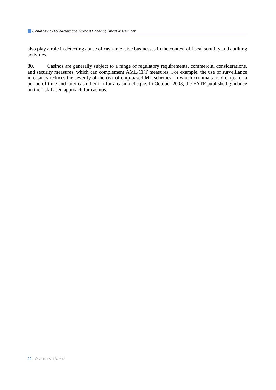also play a role in detecting abuse of cash-intensive businesses in the context of fiscal scrutiny and auditing activities.

80. Casinos are generally subject to a range of regulatory requirements, commercial considerations, and security measures, which can complement AML/CFT measures. For example, the use of surveillance in casinos reduces the severity of the risk of chip-based ML schemes, in which criminals hold chips for a period of time and later cash them in for a casino cheque. In October 2008, the FATF published guidance on the risk-based approach for casinos.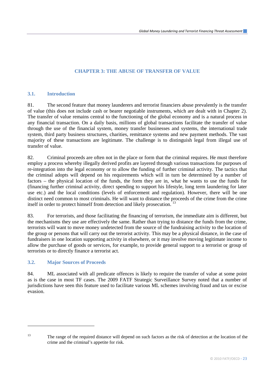## **CHAPTER 3: THE ABUSE OF TRANSFER OF VALUE**

#### **3.1. Introduction**

81. The second feature that money launderers and terrorist financiers abuse prevalently is the transfer of value (this does not include cash or bearer negotiable instruments, which are dealt with in Chapter 2). The transfer of value remains central to the functioning of the global economy and is a natural process in any financial transaction. On a daily basis, millions of global transactions facilitate the transfer of value through the use of the financial system, money transfer businesses and systems, the international trade system, third party business structures, charities, remittance systems and new payment methods. The vast majority of these transactions are legitimate. The challenge is to distinguish legal from illegal use of transfer of value.

82. Criminal proceeds are often not in the place or form that the criminal requires. He must therefore employ a process whereby illegally derived profits are layered through various transactions for purposes of re-integration into the legal economy or to allow the funding of further criminal activity. The tactics that the criminal adopts will depend on his requirements which will in turn be determined by a number of factors – the physical location of the funds, the form they are in, what he wants to use the funds for (financing further criminal activity, direct spending to support his lifestyle, long term laundering for later use etc.) and the local conditions (levels of enforcement and regulation). However, there will be one distinct need common to most criminals. He will want to distance the proceeds of the crime from the crime itself in order to protect himself from detection and likely prosecution.<sup>13</sup>

83. For terrorists, and those facilitating the financing of terrorism, the immediate aim is different, but the mechanisms they use are effectively the same. Rather than trying to distance the funds from the crime, terrorists will want to move money undetected from the source of the fundraising activity to the location of the group or persons that will carry out the terrorist activity. This may be a physical distance, in the case of fundraisers in one location supporting activity in elsewhere, or it may involve moving legitimate income to allow the purchase of goods or services, for example, to provide general support to a terrorist or group of terrorists or to directly finance a terrorist act.

### **3.2. Major Sources of Proceeds**

 $\overline{a}$ 

84. ML associated with all predicate offences is likely to require the transfer of value at some point as is the case in most TF cases. The 2009 FATF Strategic Surveillance Survey noted that a number of jurisdictions have seen this feature used to facilitate various ML schemes involving fraud and tax or excise evasion.

<sup>&</sup>lt;sup>13</sup> The range of the required distance will depend on such factors as the risk of detection at the location of the crime and the criminal's appetite for risk.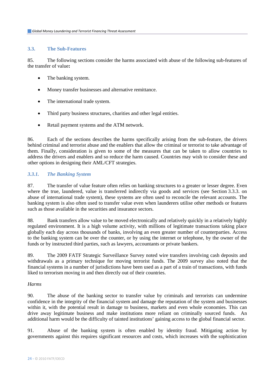## **3.3. The Sub-Features**

85. The following sections consider the harms associated with abuse of the following sub-features of the transfer of value**:**

- The banking system.
- Money transfer businesses and alternative remittance.
- The international trade system.
- Third party business structures, charities and other legal entities.
- Retail payment systems and the ATM network.

86. Each of the sections describes the harms specifically arising from the sub-feature, the drivers behind criminal and terrorist abuse and the enablers that allow the criminal or terrorist to take advantage of them. Finally, consideration is given to some of the measures that can be taken to allow countries to address the drivers and enablers and so reduce the harm caused. Countries may wish to consider these and other options in designing their AML/CFT strategies.

## *3.3.1. The Banking System*

87. The transfer of value feature often relies on banking structures to a greater or lesser degree. Even where the true, laundered, value is transferred indirectly via goods and services (see Section 3.3.3. on abuse of international trade system), these systems are often used to reconcile the relevant accounts. The banking system is also often used to transfer value even when launderers utilise other methods or features such as those available in the securities and insurance sectors.

88. Bank transfers allow value to be moved electronically and relatively quickly in a relatively highly regulated environment. It is a high volume activity, with millions of legitimate transactions taking place globally each day across thousands of banks, involving an even greater number of counterparties. Access to the banking system can be over the counter, or by using the internet or telephone, by the owner of the funds or by instructed third parties, such as lawyers, accountants or private bankers.

89. The 2009 FATF Strategic Surveillance Survey noted wire transfers involving cash deposits and withdrawals as a primary technique for moving terrorist funds. The 2009 survey also noted that the financial systems in a number of jurisdictions have been used as a part of a train of transactions, with funds liked to terrorism moving in and then directly out of their countries.

### *Harms*

90. The abuse of the banking sector to transfer value by criminals and terrorists can undermine confidence in the integrity of the financial system and damage the reputation of the system and businesses within it, with the potential result in damage to business, markets and even whole economies. This can drive away legitimate business and make institutions more reliant on criminally sourced funds. An additional harm would be the difficulty of tainted institutions' gaining access to the global financial sector.

91. Abuse of the banking system is often enabled by identity fraud. Mitigating action by governments against this requires significant resources and costs, which increases with the sophistication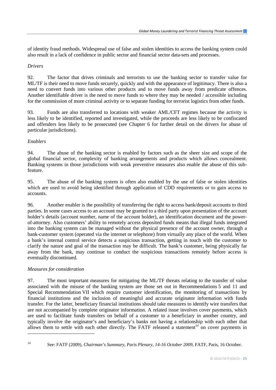of identity fraud methods. Widespread use of false and stolen identities to access the banking system could also result in a lack of confidence in public sector and financial sector data-sets and processes.

## *Drivers*

92. The factor that drives criminals and terrorists to use the banking sector to transfer value for ML/TF is their need to move funds securely, quickly and with the appearance of legitimacy. There is also a need to convert funds into various other products and to move funds away from predicate offences. Another identifiable driver is the need to move funds to where they may be needed / accessible including for the commission of more criminal activity or to separate funding for terrorist logistics from other funds.

93. Funds are also transferred to locations with weaker AML/CFT regimes because the activity is less likely to be identified, reported and investigated, while the proceeds are less likely to be confiscated and offenders less likely to be prosecuted (see Chapter 6 for further detail on the drivers for abuse of particular jurisdictions).

## *Enablers*

94. The abuse of the banking sector is enabled by factors such as the sheer size and scope of the global financial sector, complexity of banking arrangements and products which allows concealment. Banking systems in those jurisdictions with weak preventive measures also enable the abuse of this subfeature.

95. The abuse of the banking system is often also enabled by the use of false or stolen identities which are used to avoid being identified through application of CDD requirements or to gain access to accounts.

96. Another enabler is the possibility of transferring the right to access bank/deposit accounts to third parties. In some cases access to an account may be granted to a third party upon presentation of the account holder's details (account number, name of the account holder), an identification document and the powerof-attorney. Also customers' ability to remotely access deposited funds means that illegal funds integrated into the banking system can be managed without the physical presence of the account owner, through a bank-customer system (operated via the internet or telephone) from virtually any place of the world. When a bank's internal control service detects a suspicious transaction, getting in touch with the customer to clarify the nature and goal of the transaction may be difficult. The bank's customer, being physically far away from the bank, may continue to conduct the suspicious transactions remotely before access is eventually discontinued.

### *Measures for consideration*

97. The most important measures for mitigating the ML/TF threats relating to the transfer of value associated with the misuse of the banking system are those set out in Recommendations 5 and 11 and Special Recommendation VII which require customer identification, the monitoring of transactions by financial institutions and the inclusion of meaningful and accurate originator information with funds transfer. For the latter, beneficiary financial institutions should take measures to identify wire transfers that are not accompanied by complete originator information. A related issue involves cover payments, which are used to facilitate funds transfers on behalf of a customer to a beneficiary in another country, and typically involve the originator's and beneficiary's banks not having a relationship with each other that allows them to settle with each other directly. The FATF released a statement<sup>14</sup> on cover payments in

<sup>14</sup> See: FATF (2009), *Chairman's Summary, Paris Plenary, 14-16 October 2009*, FATF, Paris, 16 October.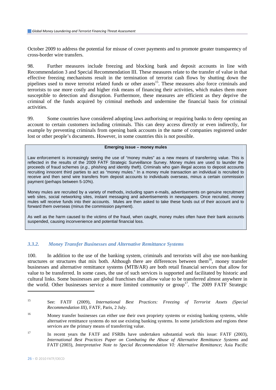October 2009 to address the potential for misuse of cover payments and to promote greater transparency of cross-border wire transfers.

98. Further measures include freezing and blocking bank and deposit accounts in line with Recommendation 3 and Special Recommendation III. These measures relate to the transfer of value in that effective freezing mechanisms result in the termination of terrorist cash flows by shutting down the pipelines used to move terrorist related funds or other assets<sup>15</sup>. These measures also force criminals and terrorists to use more costly and higher risk means of financing their activities, which makes them more susceptible to detection and disruption. Furthermore, these measures are efficient as they deprive the criminal of the funds acquired by criminal methods and undermine the financial basis for criminal activities.

99. Some countries have considered adopting laws authorising or requiring banks to deny opening an account to certain customers including criminals. This can deny access directly or even indirectly, for example by preventing criminals from opening bank accounts in the name of companies registered under lost or other people's documents. However, in some countries this is not possible.

#### **Emerging issue – money mules**

Law enforcement is increasingly seeing the use of "money mules" as a new means of transferring value. This is reflected in the results of the 2009 FATF Strategic Surveillance Survey. Money mules are used to launder the proceeds of fraud schemes (*e.g.,* phishing and identity theft). Criminals who gain illegal access to deposit accounts recruiting innocent third parties to act as "money mules." In a money mule transaction an individual is recruited to receive and then send wire transfers from deposit accounts to individuals overseas, minus a certain commission payment (perhaps between 5-10%).

Money mules are recruited by a variety of methods, including spam e-mails, advertisements on genuine recruitment web sites, social networking sites, instant messaging and advertisements in newspapers. Once recruited, money mules will receive funds into their accounts. Mules are then asked to take these funds out of their account and to forward them overseas (minus the commission payment).

As well as the harm caused to the victims of the fraud, when caught, money mules often have their bank accounts suspended, causing inconvenience and potential financial loss.

#### *3.3.2. Money Transfer Businesses and Alternative Remittance Systems*

100. In addition to the use of the banking system, criminals and terrorists will also use non-banking structures or structures that mix both. Although there are differences between them<sup>16</sup>, money transfer businesses and alternative remittance systems (MTB/AR) are both retail financial services that allow for value to be transferred. In some cases, the use of such services is supported and facilitated by historic and cultural links. Some businesses are global franchises that allow value to be transferred almost anywhere in the world. Other businesses service a more limited community or group<sup>17</sup>. The 2009 FATF Strategic

<sup>15</sup> See: FATF (2009), *International Best Practices: Freezing of Terrorist Assets (Special Recommendation III)*, FATF, Paris, 2 July.

<sup>&</sup>lt;sup>16</sup> Money transfer businesses can either use their own propriety systems or existing banking systems, while alternative remittance systems do not use existing banking systems. In some jurisdictions and regions these services are the primary means of transferring value.

<sup>&</sup>lt;sup>17</sup> In recent years the FATF and FSRBs have undertaken substantial work this issue: FATF (2003), *International Best Practices Paper on Combating the Abuse of Alternative Remittance Systems* and FATF (2003), *Interpretative Note to Special Recommendation VI: Alternative Remittance*; Asia Pacific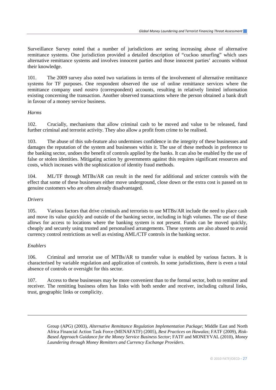Surveillance Survey noted that a number of jurisdictions are seeing increasing abuse of alternative remittance systems. One jurisdiction provided a detailed description of "cuckoo smurfing" which uses alternative remittance systems and involves innocent parties and those innocent parties' accounts without their knowledge.

101. The 2009 survey also noted two variations in terms of the involvement of alternative remittance systems for TF purposes. One respondent observed the use of online remittance services where the remittance company used *nostro* (correspondent) accounts, resulting in relatively limited information existing concerning the transaction. Another observed transactions where the person obtained a bank draft in favour of a money service business.

## *Harms*

102. Crucially, mechanisms that allow criminal cash to be moved and value to be released, fund further criminal and terrorist activity. They also allow a profit from crime to be realised.

103. The abuse of this sub-feature also undermines confidence in the integrity of these businesses and damages the reputation of the system and businesses within it. The use of these methods in preference to the banking sector, undoes the benefit of controls applied by the banks. It can also be enabled by the use of false or stolen identities. Mitigating action by governments against this requires significant resources and costs, which increases with the sophistication of identity fraud methods.

104. ML/TF through MTBs/AR can result in the need for additional and stricter controls with the effect that some of these businesses either move underground, close down or the extra cost is passed on to genuine customers who are often already disadvantaged.

### *Drivers*

105. Various factors that drive criminals and terrorists to use MTBs/AR include the need to place cash and move its value quickly and outside of the banking sector, including in high volumes. The use of these allows for access to locations where the banking system is not present. Funds can be moved quickly, cheaply and securely using trusted and personalised arrangements. These systems are also abused to avoid currency control restrictions as well as existing AML/CTF controls in the banking sector.

### *Enablers*

**.** 

106. Criminal and terrorist use of MTBs/AR to transfer value is enabled by various factors. It is characterised by variable regulation and application of controls. In some jurisdictions, there is even a total absence of controls or oversight for this sector.

107. Access to these businesses may be more convenient than to the formal sector, both to remitter and receiver. The remitting business often has links with both sender and receiver, including cultural links, trust, geographic links or complicity.

Group (APG) (2003), *Alternative Remittance Regulation Implementation Package*; Middle East and North Africa Financial Action Task Force (MENAFATF) (2005), *Best Practices on Hawalas*; FATF (2009), *Risk-Based Approach Guidance for the Money Service Business Sector*; FATF and MONEYVAL (2010), *Money Laundering through Money Remitters and Currency Exchange Providers*.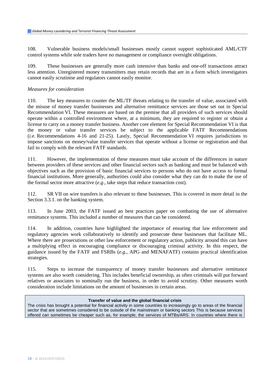108. Vulnerable business models/small businesses mostly cannot support sophisticated AML/CTF control systems while sole traders have no management or compliance oversight obligations.

109. These businesses are generally more cash intensive than banks and one-off transactions attract less attention. Unregistered money transmitters may retain records that are in a form which investigators cannot easily scrutinise and regulators cannot easily monitor.

#### *Measures for consideration*

110. The key measures to counter the ML/TF threats relating to the transfer of value, associated with the misuse of money transfer businesses and alternative remittance services are those set out in Special Recommendation VI. These measures are based on the premise that all providers of such services should operate within a controlled environment where, at a minimum, they are required to register or obtain a license to carry on a money transfer business. Another core element for Special Recommendation VI is that the money or value transfer services be subject to the applicable FATF Recommendations (*i.e.* Recommendations 4-16 and 21-25). Lastly, Special Recommendation VI requires jurisdictions to impose sanctions on money/value transfer services that operate without a license or registration and that fail to comply with the relevant FATF standards.

111. However, the implementation of these measures must take account of the differences in nature between providers of these services and other financial sectors such as banking and must be balanced with objectives such as the provision of basic financial services to persons who do not have access to formal financial institutions. More generally, authorities could also consider what they can do to make the use of the formal sector more attractive (*e.g.,* take steps that reduce transaction cost).

112. SR VII on wire transfers is also relevant to these businesses. This is covered in more detail in the Section 3.3.1. on the banking system.

113. In June 2003, the FATF issued an best practices paper on combating the use of alternative remittance systems. This included a number of measures that can be considered.

114. In addition, countries have highlighted the importance of ensuring that law enforcement and regulatory agencies work collaboratively to identify and prosecute these businesses that facilitate ML. Where there are prosecutions or other law enforcement or regulatory action, publicity around this can have a multiplying effect in encouraging compliance or discouraging criminal activity. In this respect, the guidance issued by the FATF and FSRBs (*e.g.,* APG and MENAFATF) contains practical identification strategies.

115. Steps to increase the transparency of money transfer businesses and alternative remittance systems are also worth considering. This includes beneficial ownership, as often criminals will put forward relatives or associates to nominally run the business, in order to avoid scrutiny. Other measures worth consideration include limitations on the amount of businesses in certain areas.

#### **Transfer of value and the global financial crisis**

The crisis has brought a potential for financial activity in some countries to increasingly go to areas of the financial sector that are sometimes considered to be outside of the mainstream or banking sectors This is because services offered can sometimes be cheaper such as, for example, the services of MTBs/ARS. In countries where there is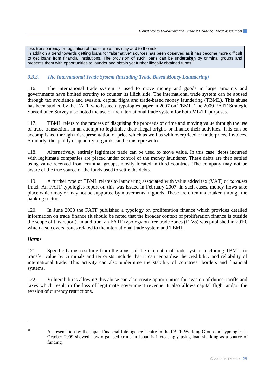less transparency or regulation of these areas this may add to the risk. In addition a trend towards getting loans for "alternative" sources has been observed as it has become more difficult to get loans from financial institutions. The provision of such loans can be undertaken by criminal groups and presents them with opportunities to launder and obtain yet further illegally obtained funds<sup>18</sup>.

# *3.3.3. The International Trade System (including Trade Based Money Laundering)*

116. The international trade system is used to move money and goods in large amounts and governments have limited scrutiny to counter its illicit side. The international trade system can be abused through tax avoidance and evasion, capital flight and trade-based money laundering (TBML). This abuse has been studied by the FATF who issued a typologies paper in 2007 on TBML. The 2009 FATF Strategic Surveillance Survey also noted the use of the international trade system for both ML/TF purposes.

117. TBML refers to the process of disguising the proceeds of crime and moving value through the use of trade transactions in an attempt to legitimise their illegal origins or finance their activities. This can be accomplished through misrepresentation of price which as well as with overpriced or underpriced invoices. Similarly, the quality or quantity of goods can be misrepresented.

118. Alternatively, entirely legitimate trade can be used to move value. In this case, debts incurred with legitimate companies are placed under control of the money launderer. These debts are then settled using value received from criminal groups, mostly located in third countries. The company may not be aware of the true source of the funds used to settle the debts.

119. A further type of TBML relates to laundering associated with value added tax (VAT) or *carousel* fraud. An FATF typologies report on this was issued in February 2007. In such cases, money flows take place which may or may not be supported by movements in goods. These are often undertaken through the banking sector.

120. In June 2008 the FATF published a typology on proliferation finance which provides detailed information on trade finance (it should be noted that the broader context of proliferation finance is outside the scope of this report). In addition, an FATF typology on free trade zones (FTZs) was published in 2010, which also covers issues related to the international trade system and TBML.

### *Harms*

 $\overline{a}$ 

121. Specific harms resulting from the abuse of the international trade system, including TBML, to transfer value by criminals and terrorists include that it can jeopardise the credibility and reliability of international trade. This activity can also undermine the stability of countries' borders and financial systems.

122. Vulnerabilities allowing this abuse can also create opportunities for evasion of duties, tariffs and taxes which result in the loss of legitimate government revenue. It also allows capital flight and/or the evasion of currency restrictions.

<sup>&</sup>lt;sup>18</sup> A presentation by the Japan Financial Intelligence Centre to the FATF Working Group on Typologies in October 2009 showed how organised crime in Japan is increasingly using loan sharking as a source of funding.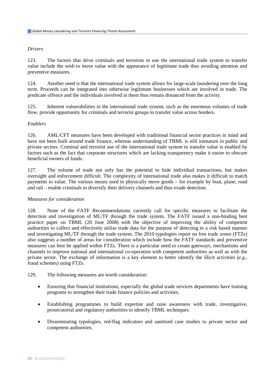#### *Drivers*

123. The factors that drive criminals and terrorists to use the international trade system to transfer value include the wish to move value with the appearance of legitimate trade thus avoiding attention and preventive measures.

124. Another need is that the international trade system allows for large-scale laundering over the long term. Proceeds can be integrated into otherwise legitimate businesses which are involved in trade. The predicate offence and the individuals involved in them thus remain distanced from the activity.

125. Inherent vulnerabilities in the international trade system, such as the enormous volumes of trade flow, provide opportunity for criminals and terrorist groups to transfer value across borders.

#### *Enablers*

126. AML/CFT measures have been developed with traditional financial sector practices in mind and have not been built around trade finance, whereas understanding of TBML is still immature in public and private sectors. Criminal and terrorist use of the international trade system to transfer value is enabled by factors such as the fact that corporate structures which are lacking transparency make it easier to obscure beneficial owners of funds.

127. The volume of trade not only has the potential to hide individual transactions, but makes oversight and enforcement difficult. The complexity of international trade also makes it difficult to match payments to value. The various means used to physically move goods – for example by boat, plane, road and rail – enable criminals to diversify their delivery channels and thus evade detection.

#### *Measures for consideration*

128. None of the FATF Recommendations currently call for specific measures to facilitate the detection and investigation of ML/TF through the trade system. The FATF issued a non-binding best practice paper on TBML (20 June 2008) with the objective of improving the ability of competent authorities to collect and effectively utilise trade data for the purpose of detecting in a risk based manner and investigating ML/TF through the trade system. The 2010 typologies report on free trade zones (FTZs) also suggests a number of areas for consideration which include how the FATF standards and preventive measures can best be applied within FTZs. There is a particular need to create gateways, mechanisms and channels to improve national and international co-operation with competent authorities as well as with the private sector. The exchange of information is a key element to better identify the illicit activities (*e.g.,*  fraud schemes*)* using FTZs.

129. The following measures are worth consideration:

- Ensuring that financial institutions, especially the global trade services departments have training programs to strengthen their trade finance policies and activities.
- Establishing programmes to build expertise and raise awareness with trade, investigative, prosecutorial and regulatory authorities to identify TBML techniques.
- Disseminating typologies, red-flag indicators and sanitised case studies to private sector and competent authorities.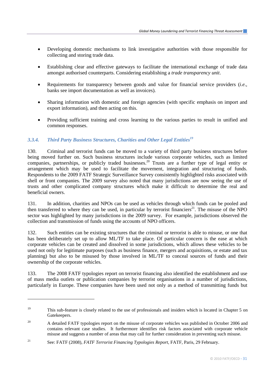- Developing domestic mechanisms to link investigative authorities with those responsible for collecting and storing trade data.
- Establishing clear and effective gateways to facilitate the international exchange of trade data amongst authorised counterparts. Considering establishing a *trade transparency unit*.
- Requirements for transparency between goods and value for financial service providers (*i.e*., banks see import documentation as well as invoices).
- Sharing information with domestic and foreign agencies (with specific emphasis on import and export information), and then acting on this.
- Providing sufficient training and cross learning to the various parties to result in unified and common responses.

# *3.3.4. Third Party Business Structures, Charities and Other Legal Entities19*

130. Criminal and terrorist funds can be moved to a variety of third party business structures before being moved further on. Such business structures include various corporate vehicles, such as limited companies, partnerships, or publicly traded businesses.<sup>20</sup> Trusts are a further type of legal entity or arrangement which may be used to facilitate the movement, integration and structuring of funds. Respondents to the 2009 FATF Strategic Surveillance Survey consistently highlighted risks associated with shell or front companies. The 2009 survey also noted that many jurisdictions are now seeing the use of trusts and other complicated company structures which make it difficult to determine the real and beneficial owners.

131. In addition, charities and NPOs can be used as vehicles through which funds can be pooled and then transferred to where they can be used, in particular by terrorist financiers<sup>21</sup>. The misuse of the NPO sector was highlighted by many jurisdictions in the 2009 survey. For example, jurisdictions observed the collection and transmission of funds using the accounts of NPO officers.

132. Such entities can be existing structures that the criminal or terrorist is able to misuse, or one that has been deliberately set up to allow ML/TF to take place. Of particular concern is the ease at which corporate vehicles can be created and dissolved in some jurisdictions, which allows these vehicles to be used not only for legitimate purposes (such as business finance, mergers and acquisitions, or estate and tax planning) but also to be misused by those involved in ML/TF to conceal sources of funds and their ownership of the corporate vehicles.

133. The 2008 FATF typologies report on terrorist financing also identified the establishment and use of mass media outlets or publication companies by terrorist organisations in a number of jurisdictions, particularly in Europe. These companies have been used not only as a method of transmitting funds but

<sup>19</sup> This sub-feature is closely related to the use of professionals and insiders which is located in Chapter 5 on Gatekeepers.

<sup>&</sup>lt;sup>20</sup> A detailed FATF typologies report on the misuse of corporate vehicles was published in October 2006 and contains relevant case studies. It furthermore identifies risk factors associated with corporate vehicle misuse and suggests a number of areas that may call for further consideration in preventing such misuse.

<sup>21</sup> See: FATF (2008), *[FATF Terrorist Financing Typologies Report](http://www.fatf-gafi.org/dataoecd/28/43/40285899.pdf)*, FATF, Paris, 29 February.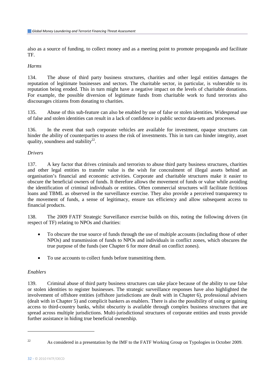also as a source of funding, to collect money and as a meeting point to promote propaganda and facilitate TF.

## *Harms*

134. The abuse of third party business structures, charities and other legal entities damages the reputation of legitimate businesses and sectors. The charitable sector, in particular, is vulnerable to its reputation being eroded. This in turn might have a negative impact on the levels of charitable donations. For example, the possible diversion of legitimate funds from charitable work to fund terrorists also discourages citizens from donating to charities.

135. Abuse of this sub-feature can also be enabled by use of false or stolen identities. Widespread use of false and stolen identities can result in a lack of confidence in public sector data-sets and processes.

136. In the event that such corporate vehicles are available for investment, opaque structures can hinder the ability of counterparties to assess the risk of investments. This in turn can hinder integrity, asset quality, soundness and stability<sup>22</sup>.

## *Drivers*

137. A key factor that drives criminals and terrorists to abuse third party business structures, charities and other legal entities to transfer value is the wish for concealment of illegal assets behind an organisation's financial and economic activities. Corporate and charitable structures make it easier to obscure the beneficial owners of funds. It therefore allows the movement of funds or value while avoiding the identification of criminal individuals or entities. Often commercial structures will facilitate fictitious loans and TBML as observed in the surveillance exercise. They also provide a perceived transparency to the movement of funds, a sense of legitimacy, ensure tax efficiency and allow subsequent access to financial products.

138. The 2009 FATF Strategic Surveillance exercise builds on this, noting the following drivers (in respect of TF) relating to NPOs and charities:

- To obscure the true source of funds through the use of multiple accounts (including those of other NPOs) and transmission of funds to NPOs and individuals in conflict zones, which obscures the true purpose of the funds (see Chapter 6 for more detail on conflict zones).
- To use accounts to collect funds before transmitting them.

### *Enablers*

 $\overline{a}$ 

139. Criminal abuse of third party business structures can take place because of the ability to use false or stolen identities to register businesses. The strategic surveillance responses have also highlighted the involvement of offshore entities (offshore jurisdictions are dealt with in Chapter 6), professional advisers (dealt with in Chapter 5) and complicit bankers as enablers. There is also the possibility of using or gaining access to third-country banks, whilst obscurity is available through complex business structures that are spread across multiple jurisdictions. Multi-jurisdictional structures of corporate entities and trusts provide further assistance in hiding true beneficial ownership.

<sup>&</sup>lt;sup>22</sup> As considered in a presentation by the IMF to the FATF Working Group on Typologies in October 2009.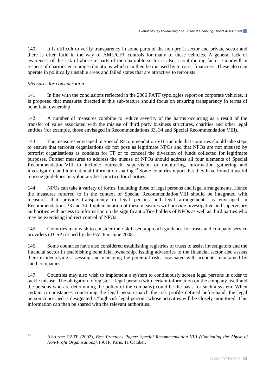140. It is difficult to verify transparency in some parts of the non-profit sector and private sector and there is often little in the way of AML/CFT controls for many of these vehicles. A general lack of awareness of the risk of abuse in parts of the charitable sector is also a contributing factor. Goodwill in respect of charities encourages donations which can then be misused by terrorist financiers. These also can operate in politically unstable areas and failed states that are attractive to terrorists.

## *Measures for consideration*

141. In line with the conclusions reflected in the 2006 FATF typologies report on corporate vehicles, it is proposed that measures directed at this sub-feature should focus on ensuring transparency in terms of beneficial ownership.

142. A number of measures combine to reduce severity of the harms occurring as a result of the transfer of value associated with the misuse of third party business structures, charities and other legal entities (for example, those envisaged in Recommendations 33, 34 and Special Recommendation VIII).

143. The measures envisaged in Special Recommendation VIII include that countries should take steps to ensure that terrorist organisations do not pose as legitimate NPOs and that NPOs are not misused by terrorist organisations as conduits for TF or to conceal the diversion of funds collected for legitimate purposes. Further measures to address the misuse of NPOs should address all four elements of Special Recommendation VIII to include: outreach, supervision or monitoring, information gathering and investigation, and international information sharing. <sup>23</sup> Some countries report that they have found it useful to issue guidelines on voluntary best practice for charities.

144. NPOs can take a variety of forms, including those of legal persons and legal arrangements. Hence the measures referred to in the context of Special Recommendation VIII should be integrated with measures that provide transparency to legal persons and legal arrangements as envisaged in Recommendations 33 and 34. Implementation of these measures will provide investigative and supervisory authorities with access to information on the significant office holders of NPOs as well as third parties who may be exercising indirect control of NPOs.

145. Countries may wish to consider the risk-based approach guidance for trusts and company service providers (TCSP) issued by the FATF in June 2008.

146. Some countries have also considered establishing registries of trusts to assist investigators and the financial sector in establishing beneficial ownership. Issuing advisories to the financial sector also assists them in identifying, assessing and managing the potential risks associated with accounts maintained by shell companies.

147. Countries may also wish to implement a system to continuously screen legal persons in order to tackle misuse. The obligation to register a legal person (with certain information on the company itself and the persons who are determining the policy of the company) could be the basis for such a system. When certain circumstances concerning the legal person match the risk profile defined beforehand, the legal person concerned is designated a "high-risk legal person" whose activities will be closely monitored. This information can then be shared with the relevant authorities.

 $\overline{a}$ 

<sup>23</sup> Also see: FATF (2002), *Best Practices Paper: Special Recommendation VIII (Combating the Abuse of Non-Profit Organisations),* FATF, Paris, 11 October.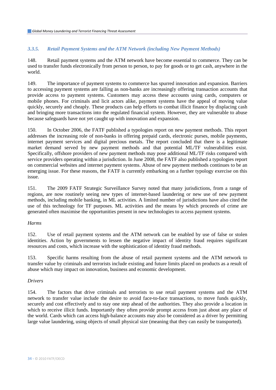## *3.3.5. Retail Payment Systems and the ATM Network (including New Payment Methods)*

148. Retail payment systems and the ATM network have become essential to commerce. They can be used to transfer funds electronically from person to person, to pay for goods or to get cash, anywhere in the world.

149. The importance of payment systems to commerce has spurred innovation and expansion. Barriers to accessing payment systems are falling as non-banks are increasingly offering transaction accounts that provide access to payment systems. Customers may access these accounts using cards, computers or mobile phones. For criminals and licit actors alike, payment systems have the appeal of moving value quickly, securely and cheaply. These products can help efforts to combat illicit finance by displacing cash and bringing more transactions into the regulated financial system. However, they are vulnerable to abuse because safeguards have not yet caught up with innovation and expansion.

150. In October 2006, the FATF published a typologies report on new payment methods. This report addresses the increasing role of non-banks in offering prepaid cards, electronic purses, mobile payments, internet payment services and digital precious metals. The report concluded that there is a legitimate market demand served by new payment methods and that potential ML/TF vulnerabilities exist. Specifically, offshore providers of new payment methods may pose additional ML/TF risks compared with service providers operating within a jurisdiction. In June 2008, the FATF also published a typologies report on commercial websites and internet payment systems. Abuse of new payment methods continues to be an emerging issue. For these reasons, the FATF is currently embarking on a further typology exercise on this issue.

151. The 2009 FATF Strategic Surveillance Survey noted that many jurisdictions, from a range of regions, are now routinely seeing new types of internet-based laundering or new use of new payment methods, including mobile banking, in ML activities. A limited number of jurisdictions have also cited the use of this technology for TF purposes. ML activities and the means by which proceeds of crime are generated often maximise the opportunities present in new technologies to access payment systems.

#### *Harms*

152. Use of retail payment systems and the ATM network can be enabled by use of false or stolen identities. Action by governments to lessen the negative impact of identity fraud requires significant resources and costs, which increase with the sophistication of identity fraud methods.

153. Specific harms resulting from the abuse of retail payment systems and the ATM network to transfer value by criminals and terrorists include existing and future limits placed on products as a result of abuse which may impact on innovation, business and economic development.

#### *Drivers*

154. The factors that drive criminals and terrorists to use retail payment systems and the ATM network to transfer value include the desire to avoid face-to-face transactions, to move funds quickly, securely and cost effectively and to stay one step ahead of the authorities. They also provide a location in which to receive illicit funds. Importantly they often provide prompt access from just about any place of the world. Cards which can access high-balance accounts may also be considered as a driver by permitting large value laundering, using objects of small physical size (meaning that they can easily be transported).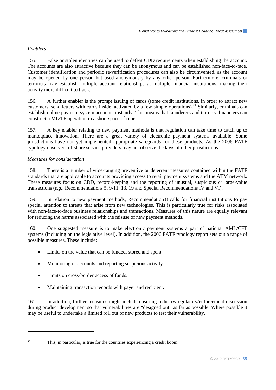# *Enablers*

155. False or stolen identities can be used to defeat CDD requirements when establishing the account. The accounts are also attractive because they can be anonymous and can be established non-face-to-face. Customer identification and periodic re-verification procedures can also be circumvented, as the account may be opened by one person but used anonymously by any other person. Furthermore, criminals or terrorists may establish multiple account relationships at multiple financial institutions, making their activity more difficult to track.

156. A further enabler is the prompt issuing of cards (some credit institutions, in order to attract new customers, send letters with cards inside, activated by a few simple operations). <sup>24</sup> Similarly, criminals can establish online payment system accounts instantly. This means that launderers and terrorist financiers can construct a ML/TF operation in a short space of time.

157. A key enabler relating to new payment methods is that regulation can take time to catch up to marketplace innovation. There are a great variety of electronic payment systems available. Some jurisdictions have not yet implemented appropriate safeguards for these products. As the 2006 FATF typology observed, offshore service providers may not observe the laws of other jurisdictions.

## *Measures for consideration*

158. There is a number of wide-ranging preventive or deterrent measures contained within the FATF standards that are applicable to accounts providing access to retail payment systems and the ATM network. These measures focus on CDD, record-keeping and the reporting of unusual, suspicious or large-value transactions (*e.g.,* Recommendations 5, 9-11, 13, 19 and Special Recommendations IV and VI).

159. In relation to new payment methods, Recommendation 8 calls for financial institutions to pay special attention to threats that arise from new technologies. This is particularly true for risks associated with non-face-to-face business relationships and transactions. Measures of this nature are equally relevant for reducing the harms associated with the misuse of new payment methods.

160. One suggested measure is to make electronic payment systems a part of national AML/CFT systems (including on the legislative level). In addition, the 2006 FATF typology report sets out a range of possible measures. These include:

- Limits on the value that can be funded, stored and spent.
- Monitoring of accounts and reporting suspicious activity.
- Limits on cross-border access of funds.
- Maintaining transaction records with payer and recipient.

161. In addition, further measures might include ensuring industry/regulatory/enforcement discussion during product development so that vulnerabilities are "designed out" as far as possible. Where possible it may be useful to undertake a limited roll out of new products to test their vulnerability.

 $24$  This, in particular, is true for the countries experiencing a credit boom.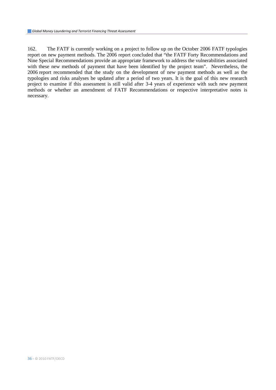162. The FATF is currently working on a project to follow up on the October 2006 FATF typologies report on new payment methods. The 2006 report concluded that "the FATF Forty Recommendations and Nine Special Recommendations provide an appropriate framework to address the vulnerabilities associated with these new methods of payment that have been identified by the project team". Nevertheless, the 2006 report recommended that the study on the development of new payment methods as well as the typologies and risks analyses be updated after a period of two years. It is the goal of this new research project to examine if this assessment is still valid after 3-4 years of experience with such new payment methods or whether an amendment of FATF Recommendations or respective interpretative notes is necessary.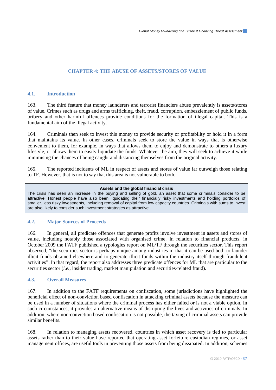# **CHAPTER 4: THE ABUSE OF ASSETS/STORES OF VALUE**

#### **4.1. Introduction**

163. The third feature that money launderers and terrorist financiers abuse prevalently is assets/stores of value. Crimes such as drugs and arms trafficking, theft, fraud, corruption, embezzlement of public funds, bribery and other harmful offences provide conditions for the formation of illegal capital. This is a fundamental aim of the illegal activity.

164. Criminals then seek to invest this money to provide security or profitability or hold it in a form that maintains its value. In other cases, criminals seek to store the value in ways that is otherwise convenient to them, for example, in ways that allows them to enjoy and demonstrate to others a luxury lifestyle, or allows them to easily liquidate the funds. Whatever the aim, they will seek to achieve it while minimising the chances of being caught and distancing themselves from the original activity.

165. The reported incidents of ML in respect of assets and stores of value far outweigh those relating to TF. However, that is not to say that this area is not vulnerable to both.

#### **Assets and the global financial crisis**

The crisis has seen an increase in the buying and selling of gold, an asset that some criminals consider to be attractive. Honest people have also been liquidating their financially risky investments and holding portfolios of smaller, less risky investments, including removal of capital from low capacity countries. Criminals with sums to invest are also likely to consider such investment strategies as attractive.

## **4.2. Major Sources of Proceeds**

166. In general, all predicate offences that generate profits involve investment in assets and stores of value, including notably those associated with organised crime. In relation to financial products, in October 2009 the FATF published a typologies report on ML/TF through the securities sector. This report observed, "the securities sector is perhaps unique among industries in that it can be used both to launder illicit funds obtained elsewhere and to generate illicit funds within the industry itself through fraudulent activities". In that regard, the report also addresses three predicate offences for ML that are particular to the securities sector *(i.e., insider trading, market manipulation and securities-related fraud).* 

#### **4.3. Overall Measures**

167. In addition to the FATF requirements on confiscation, some jurisdictions have highlighted the beneficial effect of non-conviction based confiscation in attacking criminal assets because the measure can be used in a number of situations where the criminal process has either failed or is not a viable option. In such circumstances, it provides an alternative means of disrupting the lives and activities of criminals. In addition, where non-conviction based confiscation is not possible, the taxing of criminal assets can provide similar benefits.

168. In relation to managing assets recovered, countries in which asset recovery is tied to particular assets rather than to their value have reported that operating asset forfeiture custodian regimes, or asset management offices, are useful tools in preventing those assets from being dissipated. In addition, schemes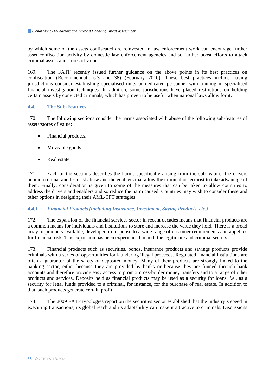by which some of the assets confiscated are reinvested in law enforcement work can encourage further asset confiscation activity by domestic law enforcement agencies and so further boost efforts to attack criminal assets and stores of value.

169. The FATF recently issued further guidance on the above points in its best practices on confiscation (Recommendations 3 and 38) (February 2010). These best practices include having jurisdictions consider establishing specialised units or dedicated personnel with training in specialised financial investigation techniques. In addition, some jurisdictions have placed restrictions on holding certain assets by convicted criminals, which has proven to be useful when national laws allow for it.

## **4.4. The Sub-Features**

170. The following sections consider the harms associated with abuse of the following sub-features of assets/stores of value:

- Financial products.
- Moveable goods.
- Real estate.

171. Each of the sections describes the harms specifically arising from the sub-feature, the drivers behind criminal and terrorist abuse and the enablers that allow the criminal or terrorist to take advantage of them. Finally, consideration is given to some of the measures that can be taken to allow countries to address the drivers and enablers and so reduce the harm caused. Countries may wish to consider these and other options in designing their AML/CFT strategies.

## *4.4.1. Financial Products (including Insurance, Investment, Saving Products, etc.)*

172. The expansion of the financial services sector in recent decades means that financial products are a common means for individuals and institutions to store and increase the value they hold. There is a broad array of products available, developed in response to a wide range of customer requirements and appetites for financial risk. This expansion has been experienced in both the legitimate and criminal sectors.

173. Financial products such as securities, bonds, insurance products and savings products provide criminals with a series of opportunities for laundering illegal proceeds. Regulated financial institutions are often a guarantor of the safety of deposited money. Many of their products are strongly linked to the banking sector, either because they are provided by banks or because they are funded through bank accounts and therefore provide easy access to prompt cross-border money transfers and to a range of other products and services. Deposits held as financial products may be used as a security for loans, *i.e.,* as a security for legal funds provided to a criminal, for instance, for the purchase of real estate. In addition to that, such products generate certain profit.

174. The 2009 FATF typologies report on the securities sector established that the industry's speed in executing transactions, its global reach and its adaptability can make it attractive to criminals. Discussions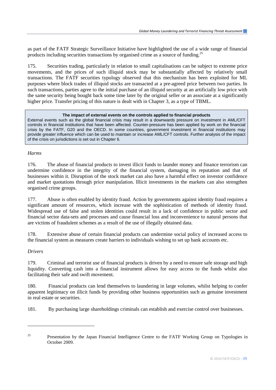as part of the FATF Strategic Surveillance Initiative have highlighted the use of a wide range of financial products including securities transactions by organised crime as a source of funding.<sup>25</sup>

175. Securities trading, particularly in relation to small capitalisations can be subject to extreme price movements, and the prices of such illiquid stock may be substantially affected by relatively small transactions. The FATF securities typology observed that this mechanism has been exploited for ML purposes where block trades of illiquid stocks are transacted at a pre-agreed price between two parties. In such transactions, parties agree to the initial purchase of an illiquid security at an artificially low price with the same security being bought back some time later by the original seller or an associate at a significantly higher price. Transfer pricing of this nature is dealt with in Chapter 3, as a type of TBML.

#### **The impact of external events on the controls applied to financial products**

External events such as the global financial crisis may result in a downwards pressure on investment in AML/CFT controls in financial institutions that have been affected. Counter-pressure has been applied by work on the financial crisis by the FATF, G20 and the OECD. In some countries, government investment in financial institutions may provide greater influence which can be used to maintain or increase AML/CFT controls. Further analysis of the impact of the crisis on jurisdictions is set out in Chapter 6.

## *Harms*

176. The abuse of financial products to invest illicit funds to launder money and finance terrorism can undermine confidence in the integrity of the financial system, damaging its reputation and that of businesses within it. Disruption of the stock market can also have a harmful effect on investor confidence and market quotations through price manipulation. Illicit investments in the markets can also strengthen organised crime groups.

177. Abuse is often enabled by identity fraud. Action by governments against identity fraud requires a significant amount of resources, which increase with the sophistication of methods of identity fraud. Widespread use of false and stolen identities could result in a lack of confidence in public sector and financial sector data-sets and processes and cause financial loss and inconvenience to natural persons that are victims of fraudulent schemes as a result of the use of illegally obtained data.

178. Extensive abuse of certain financial products can undermine social policy of increased access to the financial system as measures create barriers to individuals wishing to set up bank accounts etc.

## *Drivers*

 $\overline{a}$ 

179. Criminal and terrorist use of financial products is driven by a need to ensure safe storage and high liquidity. Converting cash into a financial instrument allows for easy access to the funds whilst also facilitating their safe and swift movement.

180. Financial products can lend themselves to laundering in large volumes, whilst helping to confer apparent legitimacy on illicit funds by providing other business opportunities such as genuine investment in real estate or securities.

181. By purchasing large shareholdings criminals can establish and exercise control over businesses.

<sup>&</sup>lt;sup>25</sup> Presentation by the Japan Financial Intelligence Centre to the FATF Working Group on Typologies in October 2009.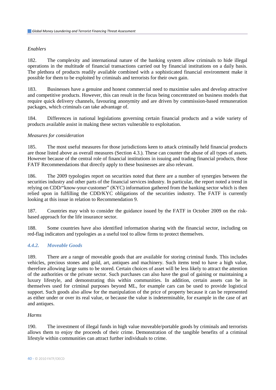## *Enablers*

182. The complexity and international nature of the banking system allow criminals to hide illegal operations in the multitude of financial transactions carried out by financial institutions on a daily basis. The plethora of products readily available combined with a sophisticated financial environment make it possible for them to be exploited by criminals and terrorists for their own gain.

183. Businesses have a genuine and honest commercial need to maximise sales and develop attractive and competitive products. However, this can result in the focus being concentrated on business models that require quick delivery channels, favouring anonymity and are driven by commission-based remuneration packages, which criminals can take advantage of.

184. Differences in national legislations governing certain financial products and a wide variety of products available assist in making these sectors vulnerable to exploitation.

#### *Measures for consideration*

185. The most useful measures for those jurisdictions keen to attack criminally held financial products are those listed above as overall measures (Section 4.3.). These can counter the abuse of all types of assets. However because of the central role of financial institutions in issuing and trading financial products, those FATF Recommendations that directly apply to these businesses are also relevant.

186. The 2009 typologies report on securities noted that there are a number of synergies between the securities industry and other parts of the financial services industry. In particular, the report noted a trend in relying on CDD/"know-your-customer" (KYC) information gathered from the banking sector which is then relied upon in fulfilling the CDD/KYC obligations of the securities industry. The FATF is currently looking at this issue in relation to Recommendation 9.

187. Countries may wish to consider the guidance issued by the FATF in October 2009 on the riskbased approach for the life insurance sector.

188. Some countries have also identified information sharing with the financial sector, including on red-flag indicators and typologies as a useful tool to allow firms to protect themselves.

## *4.4.2. Moveable Goods*

189. There are a range of moveable goods that are available for storing criminal funds. This includes vehicles, precious stones and gold, art, antiques and machinery. Such items tend to have a high value, therefore allowing large sums to be stored. Certain choices of asset will be less likely to attract the attention of the authorities or the private sector. Such purchases can also have the goal of gaining or maintaining a luxury lifestyle, and demonstrating this within communities. In addition, certain assets can be in themselves used for criminal purposes beyond ML, for example cars can be used to provide logistical support. Such goods also allow for the manipulation of the price of property because it can be represented as either under or over its real value, or because the value is indeterminable, for example in the case of art and antiques.

#### *Harms*

190. The investment of illegal funds in high value moveable/portable goods by criminals and terrorists allows them to enjoy the proceeds of their crime. Demonstration of the tangible benefits of a criminal lifestyle within communities can attract further individuals to crime.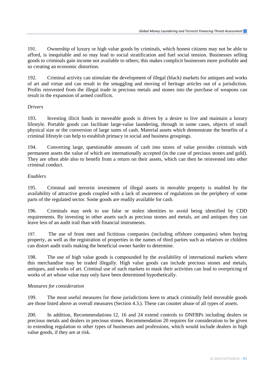191. Ownership of luxury or high value goods by criminals, which honest citizens may not be able to afford, is inequitable and so may lead to social stratification and fuel social tension. Businesses selling goods to criminals gain income not available to others; this makes complicit businesses more profitable and so creating an economic distortion.

192. Criminal activity can stimulate the development of illegal (black) markets for antiques and works of art and virtue and can result in the smuggling and moving of heritage articles out of a jurisdiction. Profits reinvested from the illegal trade in precious metals and stones into the purchase of weapons can result in the expansion of armed conflicts.

# *Drivers*

193. Investing illicit funds in moveable goods is driven by a desire to live and maintain a luxury lifestyle. Portable goods can facilitate large-value laundering, through in some cases, objects of small physical size or the conversion of large sums of cash. Material assets which demonstrate the benefits of a criminal lifestyle can help to establish primacy in social and business groupings.

194. Converting large, questionable amounts of cash into stores of value provides criminals with permanent assets the value of which are internationally accepted (in the case of precious stones and gold). They are often able also to benefit from a return on their assets, which can then be reinvested into other criminal conduct.

# *Enablers*

195. Criminal and terrorist investment of illegal assets in movable property is enabled by the availability of attractive goods coupled with a lack of awareness of regulations on the periphery of some parts of the regulated sector. Some goods are readily available for cash.

196. Criminals may seek to use false or stolen identities to avoid being identified by CDD requirements. By investing in other assets such as precious stones and metals, art and antiques they can leave less of an audit trail than with financial instruments.

197. The use of front men and fictitious companies (including offshore companies) when buying property, as well as the registration of properties in the names of third parties such as relatives or children can distort audit trails making the beneficial owner harder to determine.

198. The use of high value goods is compounded by the availability of international markets where this merchandise may be traded illegally. High value goods can include precious stones and metals, antiques, and works of art. Criminal use of such markets to mask their activities can lead to overpricing of works of art whose value may only have been determined hypothetically.

## *Measures for consideration*

199. The most useful measures for those jurisdictions keen to attack criminally held moveable goods are those listed above as overall measures (Section 4.3.). These can counter abuse of all types of assets.

200. In addition, Recommendations 12, 16 and 24 extend controls to DNFBPs including dealers in precious metals and dealers in precious stones. Recommendation 20 requires for consideration to be given to extending regulation to other types of businesses and professions, which would include dealers in high value goods, if they are at risk.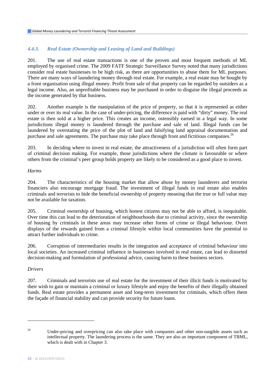# *4.4.3. Real Estate (Ownership and Leasing of Land and Buildings)*

201. The use of real estate transactions is one of the proven and most frequent methods of ML employed by organised crime. The 2009 FATF Strategic Surveillance Survey noted that many jurisdictions consider real estate businesses to be high risk, as there are opportunities to abuse them for ML purposes. There are many ways of laundering money through real estate. For example, a real estate may be bought by a front organisation using illegal money. Profit from sale of that property can be regarded by outsiders as a legal income. Also, an unprofitable business may be purchased in order to disguise the illegal proceeds as the income generated by that business.

202. Another example is the manipulation of the price of property, so that it is represented as either under or over its real value. In the case of under-pricing, the difference is paid with "dirty" money. The real estate is then sold at a higher price. This creates an income, ostensibly earned in a legal way. In some jurisdictions illegal money is laundered through the purchase and sale of land. Illegal funds can be laundered by overstating the price of the plot of land and falsifying land appraisal documentation and purchase and sale agreements. The purchase may take place through front and fictitious companies.<sup>26</sup>

203. In deciding where to invest in real estate, the attractiveness of a jurisdiction will often form part of criminal decision making. For example, those jurisdictions where the climate is favourable or where others from the criminal's peer group holds property are likely to be considered as a good place to invest.

#### *Harms*

204. The characteristics of the housing market that allow abuse by money launderers and terrorist financiers also encourage mortgage fraud. The investment of illegal funds in real estate also enables criminals and terrorists to hide the beneficial ownership of property meaning that the true or full value may not be available for taxation.

205. Criminal ownership of housing, which honest citizens may not be able to afford, is inequitable. Over time this can lead to the deterioration of neighbourhoods due to criminal activity, since the ownership of housing by criminals in these areas may increase other forms of crime or illegal behaviour. Overt displays of the rewards gained from a criminal lifestyle within local communities have the potential to attract further individuals to crime.

206. Corruption of intermediaries results in the integration and acceptance of criminal behaviour into local societies. An increased criminal influence in businesses involved in real estate, can lead to distorted decision-making and formulation of professional advice, causing harm to these business sectors.

#### *Drivers*

 $\overline{a}$ 

207. Criminals and terrorists use of real estate for the investment of their illicit funds is motivated by their wish to gain or maintain a criminal or luxury lifestyle and enjoy the benefits of their illegally obtained funds. Real estate provides a permanent asset and long-term investment for criminals, which offers them the façade of financial stability and can provide security for future loans.

<sup>&</sup>lt;sup>26</sup> Under-pricing and overpricing can also take place with companies and other non-tangible assets such as intellectual property. The laundering process is the same. They are also an important component of TBML, which is dealt with in Chapter 3.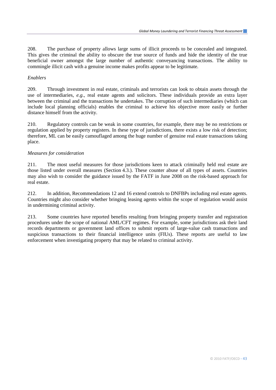208. The purchase of property allows large sums of illicit proceeds to be concealed and integrated. This gives the criminal the ability to obscure the true source of funds and hide the identity of the true beneficial owner amongst the large number of authentic conveyancing transactions. The ability to commingle illicit cash with a genuine income makes profits appear to be legitimate.

#### *Enablers*

209. Through investment in real estate, criminals and terrorists can look to obtain assets through the use of intermediaries, *e.g.,* real estate agents and solicitors. These individuals provide an extra layer between the criminal and the transactions he undertakes. The corruption of such intermediaries (which can include local planning officials) enables the criminal to achieve his objective more easily or further distance himself from the activity.

210. Regulatory controls can be weak in some countries, for example, there may be no restrictions or regulation applied by property registers. In these type of jurisdictions, there exists a low risk of detection; therefore, ML can be easily camouflaged among the huge number of genuine real estate transactions taking place.

#### *Measures for consideration*

211. The most useful measures for those jurisdictions keen to attack criminally held real estate are those listed under overall measures (Section 4.3.). These counter abuse of all types of assets. Countries may also wish to consider the guidance issued by the FATF in June 2008 on the risk-based approach for real estate.

212. In addition, Recommendations 12 and 16 extend controls to DNFBPs including real estate agents. Countries might also consider whether bringing leasing agents within the scope of regulation would assist in undermining criminal activity.

213. Some countries have reported benefits resulting from bringing property transfer and registration procedures under the scope of national AML/CFT regimes. For example, some jurisdictions ask their land records departments or government land offices to submit reports of large-value cash transactions and suspicious transactions to their financial intelligence units (FIUs). These reports are useful to law enforcement when investigating property that may be related to criminal activity.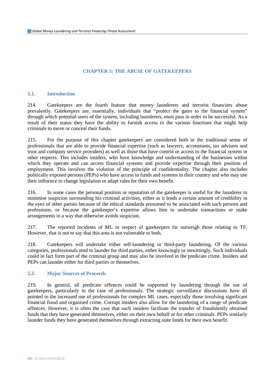## **CHAPTER 5: THE ABUSE OF GATEKEEPERS**

#### **5.1. Introduction**

214. Gatekeepers are the fourth feature that money launderers and terrorist financiers abuse prevalently. Gatekeepers are, essentially, individuals that "protect the gates to the financial system" through which potential users of the system, including launderers, must pass in order to be successful. As a result of their status they have the ability to furnish access to the various functions that might help criminals to move or conceal their funds.

215. For the purpose of this chapter gatekeepers are considered both in the traditional sense of professionals that are able to provide financial expertise (such as lawyers, accountants, tax advisers and trust and company service providers) as well as those that have control or access to the financial system in other respects. This includes insiders, who have knowledge and understanding of the businesses within which they operate and can access financial systems and provide expertise through their position of employment. This involves the violation of the principle of confidentiality. The chapter also includes politically exposed persons (PEPs) who have access to funds and systems in their country and who may use their influence to change legislation or adapt rules for their own benefit.

216. In some cases the personal position or reputation of the gatekeeper is useful for the launderer to minimise suspicion surrounding his criminal activities, either as it lends a certain amount of credibility in the eyes of other parties because of the ethical standards presumed to be associated with such persons and professions, or because the gatekeeper's expertise allows him to undertake transactions or make arrangements in a way that otherwise avoids suspicion.

217. The reported incidents of ML in respect of gatekeepers far outweigh those relating to TF. However, that is not to say that this area is not vulnerable to both.

218. Gatekeepers will undertake either self-laundering or third-party laundering. Of the various categories, professionals tend to launder for third parties, either knowingly or unwittingly. Such individuals could in fact form part of the criminal group and may also be involved in the predicate crime. Insiders and PEPs can launder either for third parties or themselves.

## **5.2. Major Sources of Proceeds**

219. In general, all predicate offences could be supported by laundering through the use of gatekeepers, particularly in the case of professionals. The strategic surveillance discussions have all pointed to the increased use of professionals for complex ML cases, especially those involving significant financial fraud and organised crime. Corrupt insiders also allow for the laundering of a range of predicate offences. However, it is often the case that such insiders facilitate the transfer of fraudulently obtained funds that they have generated themselves, either on their own behalf or for other criminals. PEPs similarly launder funds they have generated themselves through extracting state funds for their own benefit.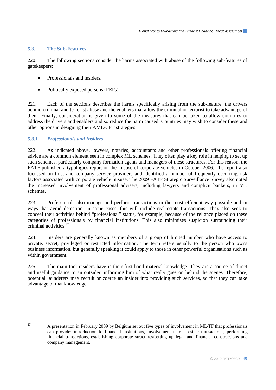# **5.3. The Sub-Features**

220. The following sections consider the harms associated with abuse of the following sub-features of gatekeepers:

- Professionals and insiders.
- Politically exposed persons (PEPs).

221. Each of the sections describes the harms specifically arising from the sub-feature, the drivers behind criminal and terrorist abuse and the enablers that allow the criminal or terrorist to take advantage of them. Finally, consideration is given to some of the measures that can be taken to allow countries to address the drivers and enablers and so reduce the harm caused. Countries may wish to consider these and other options in designing their AML/CFT strategies.

# *5.3.1. Professionals and Insiders*

 $\overline{a}$ 

222. As indicated above, lawyers, notaries, accountants and other professionals offering financial advice are a common element seen in complex ML schemes. They often play a key role in helping to set up such schemes, particularly company formation agents and managers of these structures. For this reason, the FATF published a typologies report on the misuse of corporate vehicles in October 2006. The report also focussed on trust and company service providers and identified a number of frequently occurring risk factors associated with corporate vehicle misuse. The 2009 FATF Strategic Surveillance Survey also noted the increased involvement of professional advisers, including lawyers and complicit bankers, in ML schemes.

223. Professionals also manage and perform transactions in the most efficient way possible and in ways that avoid detection. In some cases, this will include real estate transactions. They also seek to conceal their activities behind "professional" status, for example, because of the reliance placed on these categories of professionals by financial institutions. This also minimises suspicion surrounding their criminal activities. 27

224. Insiders are generally known as members of a group of limited number who have access to private, secret, privileged or restricted information. The term refers usually to the person who owns business information, but generally speaking it could apply to those in other powerful organisations such as within government.

225. The main tool insiders have is their first-hand material knowledge. They are a source of direct and useful guidance to an outsider, informing him of what really goes on behind the scenes. Therefore, potential launderers may recruit or coerce an insider into providing such services, so that they can take advantage of that knowledge.

<sup>&</sup>lt;sup>27</sup> A presentation in February 2009 by Belgium set out five types of involvement in ML/TF that professionals can provide: introduction to financial institutions, involvement in real estate transactions, performing financial transactions, establishing corporate structures/setting up legal and financial constructions and company management.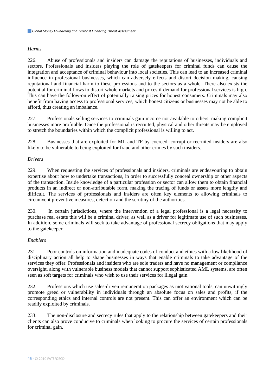#### *Harms*

226. Abuse of professionals and insiders can damage the reputations of businesses, individuals and sectors. Professionals and insiders playing the role of gatekeepers for criminal funds can cause the integration and acceptance of criminal behaviour into local societies. This can lead to an increased criminal influence in professional businesses, which can adversely effects and distort decision making, causing reputational and financial harm to these professions and to the sectors as a whole. There also exists the potential for criminal flows to distort whole markets and prices if demand for professional services is high. This can have the follow-on effect of potentially raising prices for honest consumers. Criminals may also benefit from having access to professional services, which honest citizens or businesses may not be able to afford, thus creating an imbalance.

227. Professionals selling services to criminals gain income not available to others, making complicit businesses more profitable. Once the professional is recruited, physical and other threats may be employed to stretch the boundaries within which the complicit professional is willing to act.

228. Businesses that are exploited for ML and TF by coerced, corrupt or recruited insiders are also likely to be vulnerable to being exploited for fraud and other crimes by such insiders.

#### *Drivers*

229. When requesting the services of professionals and insiders, criminals are endeavouring to obtain expertise about how to undertake transactions, in order to successfully conceal ownership or other aspects of the transaction. Inside knowledge of a particular profession or sector can allow them to obtain financial products in an indirect or non-attributable form, making the tracing of funds or assets more lengthy and difficult. The services of professionals and insiders are often key elements to allowing criminals to circumvent preventive measures, detection and the scrutiny of the authorities.

230. In certain jurisdictions, where the intervention of a legal professional is a legal necessity to purchase real estate this will be a criminal driver, as well as a driver for legitimate use of such businesses. In addition, some criminals will seek to take advantage of professional secrecy obligations that may apply to the gatekeeper.

## *Enablers*

231. Poor controls on information and inadequate codes of conduct and ethics with a low likelihood of disciplinary action all help to shape businesses in ways that enable criminals to take advantage of the services they offer. Professionals and insiders who are sole traders and have no management or compliance oversight, along with vulnerable business models that cannot support sophisticated AML systems, are often seen as soft targets for criminals who wish to use their services for illegal gain.

232. Professions which use sales-driven remuneration packages as motivational tools, can unwittingly promote greed or vulnerability in individuals through an absolute focus on sales and profits, if the corresponding ethics and internal controls are not present. This can offer an environment which can be readily exploited by criminals.

233. The non-disclosure and secrecy rules that apply to the relationship between gatekeepers and their clients can also prove conducive to criminals when looking to procure the services of certain professionals for criminal gain.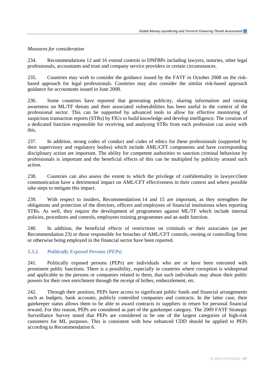# *Measures for consideration*

234. Recommendations 12 and 16 extend controls to DNFBPs including lawyers, notaries, other legal professionals, accountants and trust and company service providers in certain circumstances.

235. Countries may wish to consider the guidance issued by the FATF in October 2008 on the riskbased approach for legal professionals. Countries may also consider the similar risk-based approach guidance for accountants issued in June 2008.

236. Some countries have reported that generating publicity, sharing information and raising awareness on ML/TF threats and their associated vulnerabilities has been useful in the context of the professional sector. This can be supported by advanced tools to allow for effective monitoring of suspicious transaction reports (STRs) by FIUs to build knowledge and develop intelligence. The creation of a dedicated function responsible for receiving and analysing STRs from each profession can assist with this.

237. In addition, strong codes of conduct and codes of ethics for these professionals (supported by their supervisory and regulatory bodies) which include AML/CFT components and have corresponding disciplinary action are important. The ability for competent authorities to sanction criminal behaviour by professionals is important and the beneficial effects of this can be multiplied by publicity around such action.

238. Countries can also assess the extent to which the privilege of confidentiality in lawyer/client communication have a detrimental impact on AML/CFT effectiveness in their context and where possible take steps to mitigate this impact.

239. With respect to insiders, Recommendations 14 and 15 are important, as they strengthen the obligations and protection of the directors, officers and employees of financial institutions when reporting STRs. As well, they require the development of programmes against ML/TF which include internal policies, procedures and controls, employees training programmes and an audit function.

240. In addition, the beneficial effects of restrictions on criminals or their associates (as per Recommendation 23) or those responsible for breaches of AML/CFT controls, owning or controlling firms or otherwise being employed in the financial sector have been reported.

# *5.3.2. Politically Exposed Persons (PEPs)*

241. Politically exposed persons (PEPs) are individuals who are or have been entrusted with prominent public functions. There is a possibility, especially in countries where corruption is widespread and applicable to the persons or companies related to them, that such individuals may abuse their public powers for their own enrichment through the receipt of bribes, embezzlement, etc.

242. Through their position, PEPs have access to significant public funds and financial arrangements such as budgets, bank accounts, publicly controlled companies and contracts. In the latter case, their gatekeeper status allows them to be able to award contracts to suppliers in return for personal financial reward. For this reason, PEPs are considered as part of the gatekeeper category. The 2009 FATF Strategic Surveillance Survey noted that PEPs are considered to be one of the largest categories of high-risk customers for ML purposes. This is consistent with how enhanced CDD should be applied to PEPs according to Recommendation 6.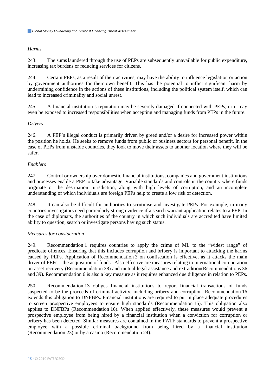## *Harms*

243. The sumslaundered through the use of PEPs are subsequently unavailable for public expenditure, increasing tax burdens or reducing services for citizens.

244. Certain PEPs, as a result of their activities, may have the ability to influence legislation or action by government authorities for their own benefit. This has the potential to inflict significant harm by undermining confidence in the actions of these institutions, including the political system itself, which can lead to increased criminality and social unrest.

245. A financial institution's reputation may be severely damaged if connected with PEPs, or it may even be exposed to increased responsibilities when accepting and managing funds from PEPs in the future.

# *Drivers*

246. A PEP's illegal conduct is primarily driven by greed and/or a desire for increased power within the position he holds. He seeks to remove funds from public or business sectors for personal benefit. In the case of PEPs from unstable countries, they look to move their assets to another location where they will be safer.

# *Enablers*

247. Control or ownership over domestic financial institutions, companies and government institutions and processes enable a PEP to take advantage. Variable standards and controls in the country where funds originate or the destination jurisdiction, along with high levels of corruption, and an incomplete understanding of which individuals are foreign PEPs help to create a low risk of detection.

248. It can also be difficult for authorities to scrutinise and investigate PEPs. For example, in many countries investigators need particularly strong evidence if a search warrant application relates to a PEP. In the case of diplomats, the authorities of the country in which such individuals are accredited have limited ability to question, search or investigate persons having such status.

## *Measures for consideration*

249. Recommendation 1 requires countries to apply the crime of ML to the "widest range" of predicate offences. Ensuring that this includes corruption and bribery is important to attacking the harms caused by PEPs. Application of Recommendation 3 on confiscation is effective, as it attacks the main driver of PEPs – the acquisition of funds. Also effective are measures relating to international co-operation on asset recovery (Recommendation 38) and mutual legal assistance and extradition(Recommendations 36 and 39). Recommendation 6 is also a key measure as it requires enhanced due diligence in relation to PEPs.

250. Recommendation 13 obliges financial institutions to report financial transactions of funds suspected to be the proceeds of criminal activity, including bribery and corruption. Recommendation 16 extends this obligation to DNFBPs. Financial institutions are required to put in place adequate procedures to screen prospective employees to ensure high standards (Recommendation 15). This obligation also applies to DNFBPs (Recommendation 16). When applied effectively, these measures would prevent a prospective employee from being hired by a financial institution when a conviction for corruption or bribery has been detected. Similar measures are contained in the FATF standards to prevent a prospective employee with a possible criminal background from being hired by a financial institution (Recommendation 23) or by a casino (Recommendation 24).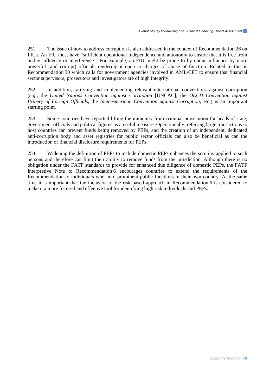251. The issue of how to address corruption is also addressed in the context of Recommendation 26 on FIUs. An FIU must have "sufficient operational independence and autonomy to ensure that it is free from undue influence or interference." For example, an FIU might be prone to by undue influence by more powerful (and corrupt) officials rendering it open to charges of abuse of function. Related to this is Recommendation 30 which calls for government agencies involved in AML/CFT to ensure that financial sector supervisors, prosecutors and investigators are of high integrity.

252. In addition, ratifying and implementing relevant international conventions against corruption (*e.g.,* the *United Nations Convention against Corruption* [UNCAC], the *OECD Convention against Bribery of Foreign Officials*, the *Inter-American Convention against Corruption*, etc.) is an important starting point.

253. Some countries have reported lifting the immunity from criminal prosecution for heads of state, government officials and political figures as a useful measure. Operationally, referring large transactions to host countries can prevent funds being removed by PEPs, and the creation of an independent, dedicated anti-corruption body and asset registries for public sector officials can also be beneficial as can the introduction of financial disclosure requirements for PEPs.

254. Widening the definition of PEPs to include domestic PEPs enhances the scrutiny applied to such persons and therefore can limit their ability to remove funds from the jurisdiction. Although there is no obligation under the FATF standards to provide for enhanced due diligence of domestic PEPs, the FATF Interpretive Note to Recommendation 6 encourages countries to extend the requirements of the Recommendation to individuals who hold prominent public functions in their own country. At the same time it is important that the inclusion of the risk based approach in Recommendation 6 is considered to make it a more focused and effective tool for identifying high risk individuals and PEPs.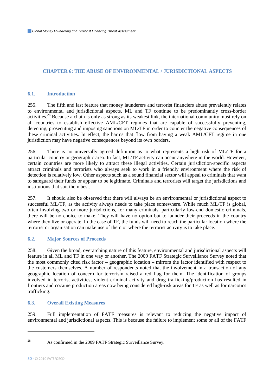## **CHAPTER 6: THE ABUSE OF ENVIRONMENTAL / JURISDICTIONAL ASPECTS**

#### **6.1. Introduction**

255. The fifth and last feature that money launderers and terrorist financiers abuse prevalently relates to environmental and jurisdictional aspects. ML and TF continue to be predominantly cross-border activities.<sup>28</sup> Because a chain is only as strong as its weakest link, the international community must rely on all countries to establish effective AML/CFT regimes that are capable of successfully preventing, detecting, prosecuting and imposing sanctions on ML/TF in order to counter the negative consequences of these criminal activities. In effect, the harms that flow from having a weak AML/CFT regime in one jurisdiction may have negative consequences beyond its own borders.

256. There is no universally agreed definition as to what represents a high risk of ML/TF for a particular country or geographic area. In fact, ML/TF activity can occur anywhere in the world. However, certain countries are more likely to attract these illegal activities. Certain jurisdiction-specific aspects attract criminals and terrorists who always seek to work in a friendly environment where the risk of detection is relatively low. Other aspects such as a sound financial sector will appeal to criminals that want to safeguard their funds or appear to be legitimate. Criminals and terrorists will target the jurisdictions and institutions that suit them best.

257. It should also be observed that there will always be an environmental or jurisdictional aspect to successful ML/TF, as the activity always needs to take place somewhere. While much ML/TF is global, often involving two or more jurisdictions, for many criminals, particularly low-end domestic criminals, there will be no choice to make. They will have no option but to launder their proceeds in the country where they live or operate. In the case of TF, the funds will need to reach the particular location where the terrorist or organisation can make use of them or where the terrorist activity is to take place.

## **6.2. Major Sources of Proceeds**

258. Given the broad, overarching nature of this feature, environmental and jurisdictional aspects will feature in all ML and TF in one way or another. The 2009 FATF Strategic Surveillance Survey noted that the most commonly cited risk factor – geographic location – mirrors the factor identified with respect to the customers themselves. A number of respondents noted that the involvement in a transaction of any geographic location of concern for terrorism raised a red flag for them. The identification of groups involved in terrorist activities, violent criminal activity and drug trafficking/production has resulted in frontiers and cocaine production areas now being considered high-risk areas for TF as well as for narcotics trafficking.

#### **6.3. Overall Existing Measures**

259. Full implementation of FATF measures is relevant to reducing the negative impact of environmental and jurisdictional aspects. This is because the failure to implement some or all of the FATF

 $\overline{a}$ 

<sup>28</sup> As confirmed in the 2009 FATF Strategic Surveillance Survey.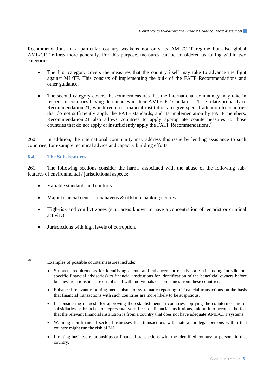Recommendations in a particular country weakens not only its AML/CFT regime but also global AML/CFT efforts more generally. For this purpose, measures can be considered as falling within two categories.

- The first category covers the measures that the country itself may take to advance the fight against ML/TF. This consists of implementing the bulk of the FATF Recommendations and other guidance.
- The second category covers the countermeasures that the international community may take in respect of countries having deficiencies in their AML/CFT standards. These relate primarily to Recommendation 21, which requires financial institutions to give special attention to countries that do not sufficiently apply the FATF standards, and its implementation by FATF members. Recommendation 21 also allows countries to apply appropriate countermeasures to those countries that do not apply or insufficiently apply the FATF Recommendations.<sup>29</sup>

260. In addition, the international community may address this issue by lending assistance to such countries, for example technical advice and capacity building efforts.

# **6.4. The Sub-Features**

261. The following sections consider the harms associated with the abuse of the following subfeatures of environmental / jurisdictional aspects:

- Variable standards and controls.
- Major financial centres, tax havens & offshore banking centres.
- High-risk and conflict zones (*e.g.,* areas known to have a concentration of terrorist or criminal activity).
- Jurisdictions with high levels of corruption.

 $\overline{a}$ 

<sup>29</sup> Examples of possible countermeasures include:

- Stringent requirements for identifying clients and enhancement of advisories (including jurisdictionspecific financial advisories) to financial institutions for identification of the beneficial owners before business relationships are established with individuals or companies from these countries.
- Enhanced relevant reporting mechanisms or systematic reporting of financial transactions on the basis that financial transactions with such countries are more likely to be suspicious.
- In considering requests for approving the establishment in countries applying the countermeasure of subsidiaries or branches or representative offices of financial institutions, taking into account the fact that the relevant financial institution is from a country that does not have adequate AML/CFT systems.
- Warning non-financial sector businesses that transactions with natural or legal persons within that country might run the risk of ML.
- Limiting business relationships or financial transactions with the identified country or persons in that country.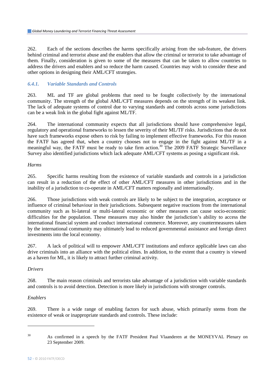262. Each of the sections describes the harms specifically arising from the sub-feature, the drivers behind criminal and terrorist abuse and the enablers that allow the criminal or terrorist to take advantage of them. Finally, consideration is given to some of the measures that can be taken to allow countries to address the drivers and enablers and so reduce the harm caused. Countries may wish to consider these and other options in designing their AML/CFT strategies.

# *6.4.1. Variable Standards and Controls*

263. ML and TF are global problems that need to be fought collectively by the international community. The strength of the global AML/CFT measures depends on the strength of its weakest link. The lack of adequate systems of control due to varying standards and controls across some jurisdictions can be a weak link in the global fight against ML/TF.

264. The international community expects that all jurisdictions should have comprehensive legal, regulatory and operational frameworks to lessen the severity of their ML/TF risks. Jurisdictions that do not have such frameworks expose others to risk by failing to implement effective frameworks. For this reason the FATF has agreed that, when a country chooses not to engage in the fight against ML/TF in a meaningful way, the FATF must be ready to take firm action.<sup>30</sup> The 2009 FATF Strategic Surveillance Survey also identified jurisdictions which lack adequate AML/CFT systems as posing a significant risk.

# *Harms*

265. Specific harms resulting from the existence of variable standards and controls in a jurisdiction can result in a reduction of the effect of other AML/CFT measures in other jurisdictions and in the inability of a jurisdiction to co-operate in AML/CFT matters regionally and internationally.

266. Those jurisdictions with weak controls are likely to be subject to the integration, acceptance or influence of criminal behaviour in their jurisdictions. Subsequent negative reactions from the international community such as bi-lateral or multi-lateral economic or other measures can cause socio-economic difficulties for the population. These measures may also hinder the jurisdiction's ability to access the international financial system and conduct international commerce. Moreover, any countermeasures taken by the international community may ultimately lead to reduced governmental assistance and foreign direct investments into the local economy.

267. A lack of political will to empower AML/CFT institutions and enforce applicable laws can also drive criminals into an alliance with the political elites. In addition, to the extent that a country is viewed as a haven for ML, it is likely to attract further criminal activity.

# *Drivers*

268. The main reason criminals and terrorists take advantage of a jurisdiction with variable standards and controls is to avoid detection. Detection is more likely in jurisdictions with stronger controls.

## *Enablers*

269. There is a wide range of enabling factors for such abuse, which primarily stems from the existence of weak or inappropriate standards and controls. These include:

 $\overline{a}$ 

<sup>&</sup>lt;sup>30</sup> As confirmed in a speech by the FATF President Paul Vlaanderen at the MONEYVAL Plenary on 23 September 2009.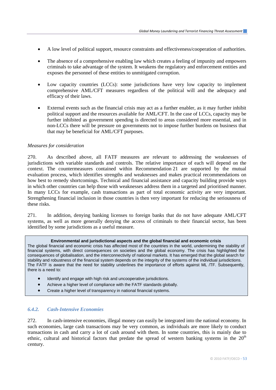- A low level of political support, resource constraints and effectiveness/cooperation of authorities.
- The absence of a comprehensive enabling law which creates a feeling of impunity and empowers criminals to take advantage of the system. It weakens the regulatory and enforcement entities and exposes the personnel of these entities to unmitigated corruption.
- Low capacity countries (LCCs): some jurisdictions have very low capacity to implement comprehensive AML/CFT measures regardless of the political will and the adequacy and efficacy of their laws.
- External events such as the financial crisis may act as a further enabler, as it may further inhibit political support and the resources available for AML/CFT. In the case of LCCs, capacity may be further inhibited as government spending is directed to areas considered more essential, and in non-LCCs there will be pressure on governments not to impose further burdens on business that that may be beneficial for AML/CFT purposes.

## *Measures for consideration*

270. As described above, all FATF measures are relevant to addressing the weaknesses of jurisdictions with variable standards and controls. The relative importance of each will depend on the context. The countermeasures contained within Recommendation 21 are supported by the mutual evaluation process, which identifies strengths and weaknesses and makes practical recommendations on how best to remedy shortcomings. Technical and financial assistance and capacity building provide ways in which other countries can help those with weaknesses address them in a targeted and prioritised manner. In many LCCs for example, cash transactions as part of total economic activity are very important. Strengthening financial inclusion in those countries is then very important for reducing the seriousness of these risks.

271. In addition, denying banking licenses to foreign banks that do not have adequate AML/CFT systems, as well as more generally denying the access of criminals to their financial sector, has been identified by some jurisdictions as a useful measure.

#### **Environmental and jurisdictional aspects and the global financial and economic crisis**

The global financial and economic crisis has affected most of the countries in the world, undermining the stability of financial systems, with direct consequences on societies and the global economy. The crisis has highlighted the consequences of globalisation, and the interconnectivity of national markets. It has emerged that the global search for stability and robustness of the financial system depends on the integrity of the systems of the individual jurisdictions. The FATF is aware that the need for stability underlines the importance of efforts against ML /TF. Subsequently, there is a need to:

- Identify and engage with high risk and uncooperative jurisdictions.
- Achieve a higher level of compliance with the FATF standards globally.
- Create a higher level of transparency in national financial systems.

## *6.4.2. Cash-Intensive Economies*

272. In cash-intensive economies, illegal money can easily be integrated into the national economy. In such economies, large cash transactions may be very common, as individuals are more likely to conduct transactions in cash and carry a lot of cash around with them. In some countries, this is mainly due to ethnic, cultural and historical factors that predate the spread of western banking systems in the  $20<sup>th</sup>$ century.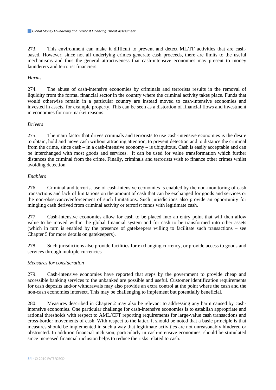273. This environment can make it difficult to prevent and detect ML/TF activities that are cashbased. However, since not all underlying crimes generate cash proceeds, there are limits to the useful mechanisms and thus the general attractiveness that cash-intensive economies may present to money launderers and terrorist financiers.

#### *Harms*

274. The abuse of cash-intensive economies by criminals and terrorists results in the removal of liquidity from the formal financial sector in the country where the criminal activity takes place. Funds that would otherwise remain in a particular country are instead moved to cash-intensive economies and invested in assets, for example property. This can be seen as a distortion of financial flows and investment in economies for non-market reasons.

## *Drivers*

275. The main factor that drives criminals and terrorists to use cash-intensive economies is the desire to obtain, hold and move cash without attracting attention, to prevent detection and to distance the criminal from the crime, since cash – in a cash-intensive economy – is ubiquitous. Cash is easily acceptable and can be interchanged with most goods and services. It can be used for value transformation which further distances the criminal from the crime. Finally, criminals and terrorists wish to finance other crimes whilst avoiding detection.

## *Enablers*

276. Criminal and terrorist use of cash-intensive economies is enabled by the non-monitoring of cash transactions and lack of limitations on the amount of cash that can be exchanged for goods and services or the non-observance/enforcement of such limitations. Such jurisdictions also provide an opportunity for mingling cash derived from criminal activity or terrorist funds with legitimate cash.

277. Cash-intensive economies allow for cash to be placed into an entry point that will then allow value to be moved within the global financial system and for cash to be transformed into other assets (which in turn is enabled by the presence of gatekeepers willing to facilitate such transactions – see Chapter 5 for more details on gatekeepers).

278. Such jurisdictions also provide facilities for exchanging currency, or provide access to goods and services through multiple currencies

## *Measures for consideration*

279. Cash-intensive economies have reported that steps by the government to provide cheap and accessible banking services to the unbanked are possible and useful. Customer identification requirements for cash deposits and/or withdrawals may also provide an extra control at the point where the cash and the non-cash economies intersect. This may be challenging to implement but potentially beneficial.

280. Measures described in Chapter 2 may also be relevant to addressing any harm caused by cashintensive economies. One particular challenge for cash-intensive economies is to establish appropriate and rational thresholds with respect to AML/CFT reporting requirements for large-value cash transactions and cross-border movements of cash. With respect to the latter, it should be noted that a basic principle is that measures should be implemented in such a way that legitimate activities are not unreasonably hindered or obstructed. In addition financial inclusion, particularly in cash-intensive economies, should be stimulated since increased financial inclusion helps to reduce the risks related to cash.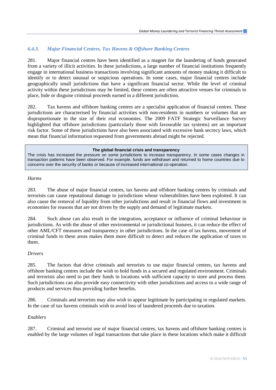# *6.4.3. Major Financial Centres, Tax Havens & Offshore Banking Centres*

281. Major financial centres have been identified as a magnet for the laundering of funds generated from a variety of illicit activities. In these jurisdictions, a large number of financial institutions frequently engage in international business transactions involving significant amounts of money making it difficult to identify or to detect unusual or suspicious operations. In some cases, major financial centres include geographically small jurisdictions that have a significant financial sector. While the level of criminal activity within these jurisdictions may be limited, these centres are often attractive venues for criminals to place, hide or disguise criminal proceeds earned in a different jurisdiction.

282. Tax havens and offshore banking centres are a specialist application of financial centres. These jurisdictions are characterised by financial activities with non-residents in numbers or volumes that are disproportionate to the size of their real economies. The 2009 FATF Strategic Surveillance Survey highlighted that offshore jurisdictions (particularly those with favourable tax systems) are an important risk factor. Some of these jurisdictions have also been associated with excessive bank secrecy laws, which mean that financial information requested from governments abroad might be rejected.

#### **The global financial crisis and transparency**

The crisis has increased the pressure on some jurisdictions to increase transparency. In some cases changes in transaction patterns have been observed. For example, funds are withdrawn and returned to home countries due to concerns over the security of banks or because of increased international co-operation.

#### *Harms*

283. The abuse of major financial centres, tax havens and offshore banking centres by criminals and terrorists can cause reputational damage to jurisdictions whose vulnerabilities have been exploited. It can also cause the removal of liquidity from other jurisdictions and result in financial flows and investment in economies for reasons that are not driven by the supply and demand of legitimate markets.

284. Such abuse can also result in the integration, acceptance or influence of criminal behaviour in jurisdictions. As with the abuse of other environmental or jurisdictional features, it can reduce the effect of other AML/CFT measures and transparency in other jurisdictions. In the case of tax havens, movement of criminal funds to these areas makes them more difficult to detect and reduces the application of taxes to them.

## *Drivers*

285. The factors that drive criminals and terrorists to use major financial centres, tax havens and offshore banking centres include the wish to hold funds in a secured and regulated environment. Criminals and terrorists also need to put their funds in locations with sufficient capacity to store and process them. Such jurisdictions can also provide easy connectivity with other jurisdictions and access to a wide range of products and services thus providing further benefits.

286. Criminals and terrorists may also wish to appear legitimate by participating in regulated markets. In the case of tax havens criminals wish to avoid loss of laundered proceeds due to taxation.

## *Enablers*

287. Criminal and terrorist use of major financial centres, tax havens and offshore banking centres is enabled by the large volumes of legal transactions that take place in these locations which make it difficult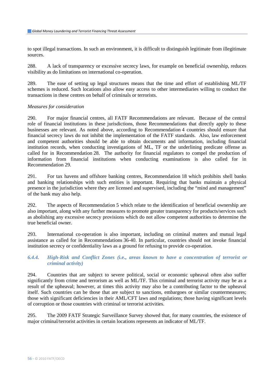to spot illegal transactions. In such an environment, it is difficult to distinguish legitimate from illegitimate sources.

288. A lack of transparency or excessive secrecy laws, for example on beneficial ownership, reduces visibility as do limitations on international co-operation.

289. The ease of setting up legal structures means that the time and effort of establishing ML/TF schemes is reduced. Such locations also allow easy access to other intermediaries willing to conduct the transactions in these centres on behalf of criminals or terrorists.

#### *Measures for consideration*

290. For major financial centres, all FATF Recommendations are relevant. Because of the central role of financial institutions in these jurisdictions, those Recommendations that directly apply to these businesses are relevant. As noted above, according to Recommendation 4 countries should ensure that financial secrecy laws do not inhibit the implementation of the FATF standards. Also, law enforcement and competent authorities should be able to obtain documents and information, including financial institution records, when conducting investigations of ML, TF or the underlining predicate offense as called for in Recommendation 28. The authority for financial regulators to compel the production of information from financial institutions when conducting examinations is also called for in Recommendation 29.

291. For tax havens and offshore banking centres, Recommendation 18 which prohibits shell banks and banking relationships with such entities is important. Requiring that banks maintain a physical presence in the jurisdiction where they are licensed and supervised, including the "mind and management" of the bank may also help.

292. The aspects of Recommendation 5 which relate to the identification of beneficial ownership are also important, along with any further measures to promote greater transparency for products/services such as abolishing any excessive secrecy provisions which do not allow competent authorities to determine the true beneficial owner.

293. International co-operation is also important, including on criminal matters and mutual legal assistance as called for in Recommendations 36-40. In particular, countries should not invoke financial institution secrecy or confidentiality laws as a ground for refusing to provide co-operation.

## *6.4.4. High-Risk and Conflict Zones (***i.e.,** *areas known to have a concentration of terrorist or criminal activity)*

294. Countries that are subject to severe political, social or economic upheaval often also suffer significantly from crime and terrorism as well as ML/TF. This criminal and terrorist activity may be as a result of the upheaval; however, at times this activity may also be a contributing factor to the upheaval itself. Such countries can be those that are subject to sanctions, embargoes or similar countermeasures; those with significant deficiencies in their AML/CFT laws and regulations; those having significant levels of corruption or those countries with criminal or terrorist activities.

295. The 2009 FATF Strategic Surveillance Survey showed that, for many countries, the existence of major criminal/terrorist activities in certain locations represents an indicator of ML/TF.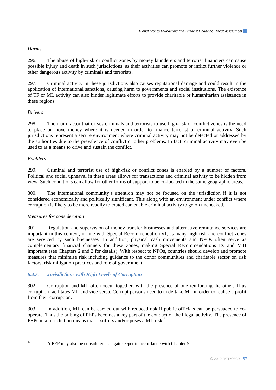# *Harms*

296. The abuse of high-risk or conflict zones by money launderers and terrorist financiers can cause possible injury and death in such jurisdictions, as their activities can promote or inflict further violence or other dangerous activity by criminals and terrorists.

297. Criminal activity in these jurisdictions also causes reputational damage and could result in the application of international sanctions, causing harm to governments and social institutions. The existence of TF or ML activity can also hinder legitimate efforts to provide charitable or humanitarian assistance in these regions.

# *Drivers*

298. The main factor that drives criminals and terrorists to use high-risk or conflict zones is the need to place or move money where it is needed in order to finance terrorist or criminal activity. Such jurisdictions represent a secure environment where criminal activity may not be detected or addressed by the authorities due to the prevalence of conflict or other problems. In fact, criminal activity may even be used to as a means to drive and sustain the conflict.

# *Enablers*

 $\overline{a}$ 

299. Criminal and terrorist use of high-risk or conflict zones is enabled by a number of factors. Political and social upheaval in these areas allows for transactions and criminal activity to be hidden from view. Such conditions can allow for other forms of support to be co-located in the same geographic areas.

300. The international community's attention may not be focused on the jurisdiction if it is not considered economically and politically significant. This along with an environment under conflict where corruption is likely to be more readily tolerated can enable criminal activity to go on unchecked.

# *Measures for consideration*

301. Regulation and supervision of money transfer businesses and alternative remittance services are important in this context, in line with Special Recommendation VI, as many high risk and conflict zones are serviced by such businesses. In addition, physical cash movements and NPOs often serve as complementary financial channels for these zones, making Special Recommendations IX and VIII important (see Chapters 2 and 3 for details). With respect to NPOs, countries should develop and promote measures that minimise risk including guidance to the donor communities and charitable sector on risk factors, risk mitigation practices and role of government.

# *6.4.5. Jurisdictions with High Levels of Corruption*

302. Corruption and ML often occur together, with the presence of one reinforcing the other. Thus corruption facilitates ML and vice versa. Corrupt persons need to undertake ML in order to realise a profit from their corruption.

303. In addition, ML can be carried out with reduced risk if public officials can be persuaded to cooperate. Thus the bribing of PEPs becomes a key part of the conduct of the illegal activity. The presence of PEPs in a jurisdiction means that it suffers and/or poses a ML risk.<sup>31</sup>

<sup>&</sup>lt;sup>31</sup> A PEP may also be considered as a gatekeeper in accordance with Chapter 5.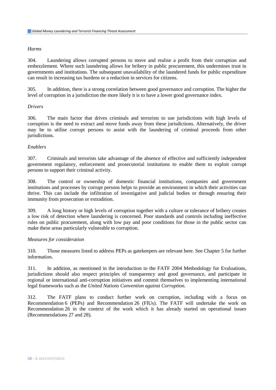#### *Harms*

304. Laundering allows corrupted persons to move and realise a profit from their corruption and embezzlement. Where such laundering allows for bribery in public procurement, this undermines trust in governments and institutions. The subsequent unavailability of the laundered funds for public expenditure can result in increasing tax burdens or a reduction in services for citizens.

305. In addition, there is a strong correlation between good governance and corruption. The higher the level of corruption in a jurisdiction the more likely it is to have a lower good governance index.

#### *Drivers*

306. The main factor that drives criminals and terrorists to use jurisdictions with high levels of corruption is the need to extract and move funds away from these jurisdictions. Alternatively, the driver may be to utilise corrupt persons to assist with the laundering of criminal proceeds from other jurisdictions.

#### *Enablers*

307. Criminals and terrorists take advantage of the absence of effective and sufficiently independent government regulatory, enforcement and prosecutorial institutions to enable them to exploit corrupt persons to support their criminal activity.

308. The control or ownership of domestic financial institutions, companies and government institutions and processes by corrupt persons helps to provide an environment in which their activities can thrive. This can include the infiltration of investigative and judicial bodies or through ensuring their immunity from prosecution or extradition.

309. A long history or high levels of corruption together with a culture or tolerance of bribery creates a low risk of detection where laundering is concerned. Poor standards and controls including ineffective rules on public procurement, along with low pay and poor conditions for those in the public sector can make these areas particularly vulnerable to corruption.

#### *Measures for consideration*

310. Those measures listed to address PEPs as gatekeepers are relevant here. See Chapter 5 for further information.

311. In addition, as mentioned in the introduction to the FATF 2004 Methodology for Evaluations, jurisdictions should also respect principles of transparency and good governance, and participate in regional or international anti-corruption initiatives and commit themselves to implementing international legal frameworks such as the *United Nations Convention against Corruption*.

312. The FATF plans to conduct further work on corruption, including with a focus on Recommendation 6 (PEPs) and Recommendation 26 (FIUs). The FATF will undertake the work on Recommendation 26 in the context of the work which it has already started on operational issues (Recommendations 27 and 28).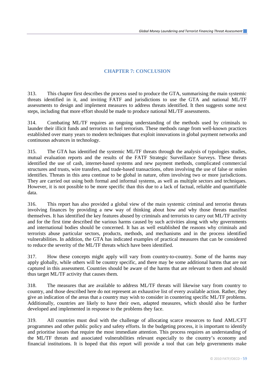## **CHAPTER 7: CONCLUSION**

313. This chapter first describes the process used to produce the GTA, summarising the main systemic threats identified in it, and inviting FATF and jurisdictions to use the GTA and national ML/TF assessments to design and implement measures to address threats identified. It then suggests some next steps, including that more effort should be made to produce national ML/TF assessments.

314. Combating ML/TF requires an ongoing understanding of the methods used by criminals to launder their illicit funds and terrorists to fuel terrorism. These methods range from well-known practices established over many years to modern techniques that exploit innovations in global payment networks and continuous advances in technology.

315. The GTA has identified the systemic ML/TF threats through the analysis of typologies studies, mutual evaluation reports and the results of the FATF Strategic Surveillance Surveys. These threats identified the use of cash, internet-based systems and new payment methods, complicated commercial structures and trusts, wire transfers, and trade-based transactions, often involving the use of false or stolen identifies. Threats in this area continue to be global in nature, often involving two or more jurisdictions. They are carried out using both formal and informal systems, as well as multiple sectors and techniques. However, it is not possible to be more specific than this due to a lack of factual, reliable and quantifiable data.

316. This report has also provided a global view of the main systemic criminal and terrorist threats involving finances by providing a new way of thinking about how and why those threats manifest themselves. It has identified the key features abused by criminals and terrorists to carry out ML/TF activity and for the first time described the various harms caused by such activities along with why governments and international bodies should be concerned. It has as well established the reasons why criminals and terrorists abuse particular sectors, products, methods, and mechanisms and in the process identified vulnerabilities. In addition, the GTA has indicated examples of practical measures that can be considered to reduce the severity of the ML/TF threats which have been identified.

317. How these concepts might apply will vary from country-to-country. Some of the harms may apply globally, while others will be country specific, and there may be some additional harms that are not captured in this assessment. Countries should be aware of the harms that are relevant to them and should thus target ML/TF activity that causes them.

318. The measures that are available to address ML/TF threats will likewise vary from country to country, and those described here do not represent an exhaustive list of every available action. Rather, they give an indication of the areas that a country may wish to consider in countering specific ML/TF problems. Additionally, countries are likely to have their own, adapted measures, which should also be further developed and implemented in response to the problems they face.

319. All countries must deal with the challenge of allocating scarce resources to fund AML/CFT programmes and other public policy and safety efforts. In the budgeting process, it is important to identify and prioritise issues that require the most immediate attention. This process requires an understanding of the ML/TF threats and associated vulnerabilities relevant especially to the country's economy and financial institutions. It is hoped that this report will provide a tool that can help governments make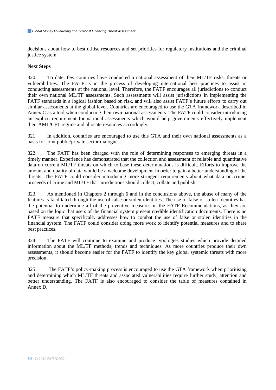decisions about how to best utilise resources and set priorities for regulatory institutions and the criminal justice system.

#### **Next Steps**

320. To date, few countries have conducted a national assessment of their ML/TF risks, threats or vulnerabilities. The FATF is in the process of developing international best practices to assist in conducting assessments at the national level. Therefore, the FATF encourages all jurisdictions to conduct their own national ML/TF assessments. Such assessments will assist jurisdictions in implementing the FATF standards in a logical fashion based on risk, and will also assist FATF's future efforts to carry out similar assessments at the global level. Countries are encouraged to use the GTA framework described in Annex C as a tool when conducting their own national assessments. The FATF could consider introducing an explicit requirement for national assessments which would help governments effectively implement their AML/CFT regime and allocate resources accordingly.

321. In addition, countries are encouraged to use this GTA and their own national assessments as a basis for joint public/private sector dialogue.

322. The FATF has been charged with the role of determining responses to emerging threats in a timely manner. Experience has demonstrated that the collection and assessment of reliable and quantitative data on current ML/TF threats on which to base these determinations is difficult. Efforts to improve the amount and quality of data would be a welcome development in order to gain a better understanding of the threats. The FATF could consider introducing more stringent requirements about what data on crime, proceeds of crime and ML/TF that jurisdictions should collect, collate and publish.

323. As mentioned in Chapters 2 through 6 and in the conclusions above, the abuse of many of the features is facilitated through the use of false or stolen identities. The use of false or stolen identities has the potential to undermine all of the preventive measures in the FATF Recommendations, as they are based on the logic that users of the financial system present credible identification documents. There is no FATF measure that specifically addresses how to combat the use of false or stolen identities in the financial system. The FATF could consider doing more work to identify potential measures and to share best practices.

324. The FATF will continue to examine and produce typologies studies which provide detailed information about the ML/TF methods, trends and techniques. As more countries produce their own assessments, it should become easier for the FATF to identify the key global systemic threats with more precision.

325. The FATF's policy-making process is encouraged to use the GTA framework when prioritising and determining which ML/TF threats and associated vulnerabilities require further study, attention and better understanding. The FATF is also encouraged to consider the table of measures contained in Annex D.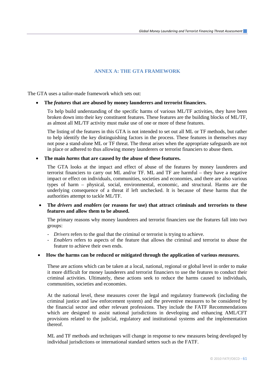# **ANNEX A: THE GTA FRAMEWORK**

The GTA uses a tailor-made framework which sets out:

#### • **The** *features* **that are abused by money launderers and terrorist financiers.**

To help build understanding of the specific harms of various ML/TF activities, they have been broken down into their key constituent features. These features are the building blocks of ML/TF, as almost all ML/TF activity must make use of one or more of these features.

The listing of the features in this GTA is not intended to set out all ML or TF methods, but rather to help identify the key distinguishing factors in the process. These features in themselves may not pose a stand-alone ML or TF threat. The threat arises when the appropriate safeguards are not in place or adhered to thus allowing money launderers or terrorist financiers to abuse them.

• **The main** *harms* **that are caused by the abuse of these features.**

The GTA looks at the impact and effect of abuse of the features by money launderers and terrorist financiers to carry out ML and/or TF. ML and TF are harmful – they have a negative impact or effect on individuals, communities, societies and economies, and there are also various types of harm – physical, social, environmental, economic, and structural. Harms are the underlying consequence of a threat if left unchecked. It is because of these harms that the authorities attempt to tackle ML/TF.

• **The** *drivers* **and** *enablers* **(or reasons for use) that attract criminals and terrorists to these features and allow them to be abused.**

The primary reasons why money launderers and terrorist financiers use the features fall into two groups:

- *Drivers* refers to the goal that the criminal or terrorist is trying to achieve.
- *Enablers* refers to aspects of the feature that allows the criminal and terrorist to abuse the feature to achieve their own ends.

#### • **How the harms can be reduced or mitigated through the application of various** *measures.*

These are actions which can be taken at a local, national, regional or global level in order to make it more difficult for money launderers and terrorist financiers to use the features to conduct their criminal activities. Ultimately, these actions seek to reduce the harms caused to individuals, communities, societies and economies.

At the national level, these measures cover the legal and regulatory framework (including the criminal justice and law enforcement system) and the preventive measures to be considered by the financial sector and other relevant professions. They include the FATF Recommendations which are designed to assist national jurisdictions in developing and enhancing AML/CFT provisions related to the judicial, regulatory and institutional systems and the implementation thereof.

ML and TF methods and techniques will change in response to new measures being developed by individual jurisdictions or international standard setters such as the FATF.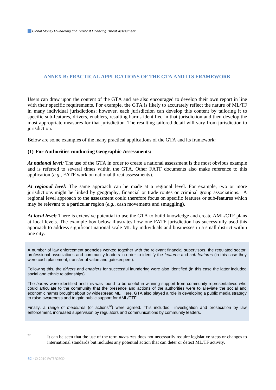# **ANNEX B: PRACTICAL APPLICATIONS OF THE GTA AND ITS FRAMEWORK**

Users can draw upon the content of the GTA and are also encouraged to develop their own report in line with their specific requirements. For example, the GTA is likely to accurately reflect the nature of ML/TF in many individual jurisdictions; however, each jurisdiction can develop this content by tailoring it to specific sub-features, drivers, enablers, resulting harms identified in that jurisdiction and then develop the most appropriate measures for that jurisdiction. The resulting tailored detail will vary from jurisdiction to jurisdiction.

Below are some examples of the many practical applications of the GTA and its framework:

#### **(1) For Authorities conducting Geographic Assessments:**

*At national level:* The use of the GTA in order to create a national assessment is the most obvious example and is referred to several times within the GTA. Other FATF documents also make reference to this application (*e.g.,* FATF work on national threat assessments).

*At regional level:* The same approach can be made at a regional level. For example, two or more jurisdictions might be linked by geography, financial or trade routes or criminal group associations. A regional level approach to the assessment could therefore focus on specific features or sub-features which may be relevant to a particular region (*e.g.,* cash movements and smuggling).

*At local level:* There is extensive potential to use the GTA to build knowledge and create AML/CTF plans at local levels. The example box below illustrates how one FATF jurisdiction has successfully used this approach to address significant national scale ML by individuals and businesses in a small district within one city.

A number of law enforcement agencies worked together with the relevant financial supervisors, the regulated sector, professional associations and community leaders in order to identify the *features* and *sub-features* (in this case they were cash placement, transfer of value and gatekeepers).

Following this, the *drivers* and *enablers* for successful laundering were also identified (in this case the latter included social and ethnic relationships).

The *harms* were identified and this was found to be useful in winning support from community representatives who could articulate to the community that the presence and actions of the authorities were to alleviate the social and economic harms brought about by widespread ML. Here, GTA also played a role in developing a public media strategy to raise awareness and to gain public support for AML/CTF.

Finally, a range of *measures* (or actions<sup>32</sup>) were agreed. This included investigation and prosecution by law enforcement, increased supervision by regulators and communications by community leaders.

 $\overline{a}$ 

<sup>32</sup> It can be seen that the use of the term *measures* does not necessarily require legislative steps or changes to international standards but includes any potential action that can deter or detect ML/TF activity.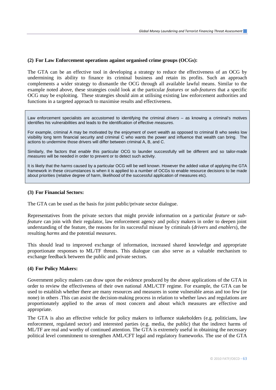#### **(2) For Law Enforcement operations against organised crime groups (OCGs):**

The GTA can be an effective tool in developing a strategy to reduce the effectiveness of an OCG by undermining its ability to finance its criminal business and retain its profits. Such an approach complements a wider strategy to dismantle the OCG through all available lawful means. Similar to the example noted above, these strategies could look at the particular *features* or *sub-features* that a specific OCG may be exploiting. These strategies should aim at utilising existing law enforcement authorities and functions in a targeted approach to maximise results and effectiveness.

Law enforcement specialists are accustomed to identifying the criminal *drivers* – as knowing a criminal's motives identifies his vulnerabilities and leads to the identification of effective *measures*.

For example, criminal A may be motivated by the enjoyment of overt wealth as opposed to criminal B who seeks low visibility long term financial security and criminal C who wants the power and influence that wealth can bring. The actions to undermine those drivers will differ between criminal A, B, and C.

Similarly, the factors that *enable* this particular OCG to launder successfully will be different and so tailor-made *measures* will be needed in order to prevent or to detect such activity.

It is likely that the *harms* caused by a particular OCG will be well known. However the added value of applying the GTA framework in these circumstances is when it is applied to a number of OCGs to enable resource decisions to be made about priorities (relative degree of harm, likelihood of the successful application of measures etc).

#### **(3) For Financial Sectors:**

The GTA can be used as the basis for joint public/private sector dialogue.

Representatives from the private sectors that might provide information on a particular *feature* or *subfeature* can join with their regulator, law enforcement agency and policy makers in order to deepen joint understanding of the feature, the reasons for its successful misuse by criminals (*drivers* and *enablers*), the resulting *harms* and the potential *measures*.

This should lead to improved exchange of information, increased shared knowledge and appropriate proportionate responses to ML/TF threats. This dialogue can also serve as a valuable mechanism to exchange feedback between the public and private sectors.

## **(4) For Policy Makers:**

Government policy makers can draw upon the evidence produced by the above applications of the GTA in order to review the effectiveness of their own national AML/CTF regime. For example, the GTA can be used to establish whether there are many resources and measures in some vulnerable areas and too few (or none) in others .This can assist the decision-making process in relation to whether laws and regulations are proportionately applied to the areas of most concern and about which measures are effective and appropriate.

The GTA is also an effective vehicle for policy makers to influence stakeholders (e.g. politicians, law enforcement, regulated sector) and interested parties (e.g. media, the public) that the indirect harms of ML/TF are real and worthy of continued attention. The GTA is extremely useful in obtaining the necessary political level commitment to strengthen AML/CFT legal and regulatory frameworks. The use of the GTA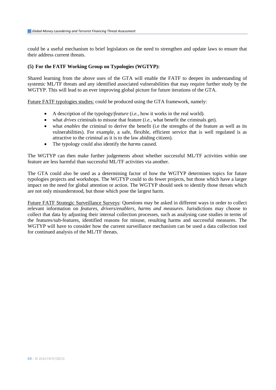could be a useful mechanism to brief legislators on the need to strengthen and update laws to ensure that their address current threats.

#### **(5) For the FATF Working Group on Typologies (WGTYP):**

Shared learning from the above uses of the GTA will enable the FATF to deepen its understanding of systemic ML/TF threats and any identified associated vulnerabilities that may require further study by the WGTYP. This will lead to an ever improving global picture for future iterations of the GTA.

Future FATF typologies studies: could be produced using the GTA framework, namely:

- A description of the typology/*feature* (*i.e.,* how it works in the real world).
- what *drives* criminals to misuse that feature (*i.e.,* what benefit the criminals get).
- what *enables* the criminal to derive the benefit (i.e the strengths of the feature as well as its vulnerabilities). For example, a safe, flexible, efficient service that is well regulated is as attractive to the criminal as it is to the law abiding citizen).
- The typology could also identify the *harms* caused.

The WGTYP can then make further judgements about whether successful ML/TF activities within one feature are less harmful than successful ML/TF activities via another.

The GTA could also be used as a determining factor of how the WGTYP determines topics for future typologies projects and workshops. The WGTYP could to do fewer projects, but those which have a larger impact on the need for global attention or action. The WGTYP should seek to identify those threats which are not only misunderstood, but those which pose the largest harm.

Future FATF Strategic Surveillance Surveys: Questions may be asked in different ways in order to collect relevant information on *features, drivers/enablers, harms and measures*. Jurisdictions may choose to collect that data by adjusting their internal collection processes, such as analysing case studies in terms of the features/sub-features, identified reasons for misuse, resulting harms and successful measures. The WGTYP will have to consider how the current surveillance mechanism can be used a data collection tool for continued analysis of the ML/TF threats.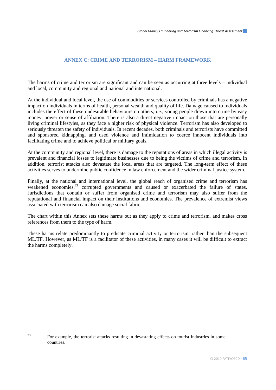# **ANNEX C: CRIME AND TERRORISM – HARM FRAMEWORK**

The harms of crime and terrorism are significant and can be seen as occurring at three levels – individual and local, community and regional and national and international.

At the individual and local level, the use of commodities or services controlled by criminals has a negative impact on individuals in terms of health, personal wealth and quality of life. Damage caused to individuals includes the effect of these undesirable behaviours on others, *i.e.,* young people drawn into crime by easy money, power or sense of affiliation. There is also a direct negative impact on those that are personally living criminal lifestyles, as they face a higher risk of physical violence. Terrorism has also developed to seriously threaten the safety of individuals. In recent decades, both criminals and terrorists have committed and sponsored kidnapping, and used violence and intimidation to coerce innocent individuals into facilitating crime and to achieve political or military goals.

At the community and regional level, there is damage to the reputations of areas in which illegal activity is prevalent and financial losses to legitimate businesses due to being the victims of crime and terrorism. In addition, terrorist attacks also devastate the local areas that are targeted. The long-term effect of these activities serves to undermine public confidence in law enforcement and the wider criminal justice system.

Finally, at the national and international level, the global reach of organised crime and terrorism has weakened economies,<sup>33</sup> corrupted governments and caused or exacerbated the failure of states. Jurisdictions that contain or suffer from organised crime and terrorism may also suffer from the reputational and financial impact on their institutions and economies. The prevalence of extremist views associated with terrorism can also damage social fabric.

The chart within this Annex sets these harms out as they apply to crime and terrorism, and makes cross references from them to the type of harm.

These harms relate predominantly to predicate criminal activity or terrorism, rather than the subsequent ML/TF. However, as ML/TF is a facilitator of these activities, in many cases it will be difficult to extract the harms completely.

 $\overline{a}$ 

<sup>&</sup>lt;sup>33</sup> For example, the terrorist attacks resulting in devastating effects on tourist industries in some countries.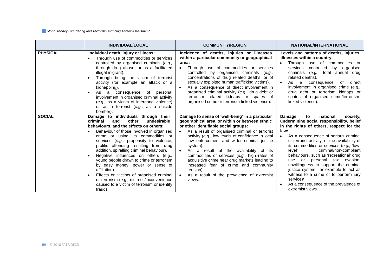|                 | <b>INDIVIDUAL/LOCAL</b>                                                                                                                                                                                                                                                                                                                                                                                                                                                                                                                                                                                                                 | <b>COMMUNITY/REGION</b>                                                                                                                                                                                                                                                                                                                                                                                                                                                                                                                                                           | <b>NATIONAL/INTERNATIONAL</b>                                                                                                                                                                                                                                                                                                                                                                                                                                                                                                                                                                                           |
|-----------------|-----------------------------------------------------------------------------------------------------------------------------------------------------------------------------------------------------------------------------------------------------------------------------------------------------------------------------------------------------------------------------------------------------------------------------------------------------------------------------------------------------------------------------------------------------------------------------------------------------------------------------------------|-----------------------------------------------------------------------------------------------------------------------------------------------------------------------------------------------------------------------------------------------------------------------------------------------------------------------------------------------------------------------------------------------------------------------------------------------------------------------------------------------------------------------------------------------------------------------------------|-------------------------------------------------------------------------------------------------------------------------------------------------------------------------------------------------------------------------------------------------------------------------------------------------------------------------------------------------------------------------------------------------------------------------------------------------------------------------------------------------------------------------------------------------------------------------------------------------------------------------|
| <b>PHYSICAL</b> | Individual death, injury or illness:<br>Through use of commodities or services<br>$\bullet$<br>controlled by organised criminals (e.g.,<br>through drug abuse, or as a facilitated<br>illegal migrant).<br>Through being the victim of terrorist<br>activity (for example an attack or a<br>kidnapping).<br>As a<br>consequence of personal<br>involvement in organised criminal activity<br>(e.g., as a victim of intergang violence)<br>or as a terrorist (e.g., as a suicide<br>bomber).                                                                                                                                             | Incidence of deaths, injuries or illnesses<br>within a particular community or geographical<br>area:<br>Through use of commodities or services<br>$\bullet$<br>controlled by organised criminals (e.g.,<br>concentrations of drug related deaths, or of<br>sexually exploited human trafficking victims).<br>As a consequence of direct involvement in<br>organised criminal activity (e.g., drug debt or<br>terrorism related kidnaps or spates of<br>organised crime or terrorism-linked violence).                                                                             | Levels and patterns of deaths, injuries,<br>illnesses within a country:<br>Through<br>use of commodities or<br>controlled<br>by organised<br>services<br>criminals (e.g., total annual drug<br>related deaths).<br>consequence<br>direct<br>$\bullet$<br>As<br>a<br>of<br>involvement in organised crime (e.g.,<br>drug debt or terrorism kidnaps or<br>spates of organised crime/terrorism-<br>linked violence).                                                                                                                                                                                                       |
| <b>SOCIAL</b>   | Damage to individuals through their<br>other<br>criminal<br>undesirable<br>and<br>behaviours, and the effects on others:<br>Behaviour of those involved in organised<br>crime or using its commodities or<br>services (e.g., propensity to violence,<br>prolific offending resulting from drug<br>addition, spiralling criminal behaviour).<br>Negative influences on others (e.g.,<br>young people drawn to crime or terrorism<br>by easy money, power or sense of<br>affiliation).<br>Effects on victims of organised criminal<br>or terrorism (e.g., distress/inconvenience<br>caused to a victim of terrorism or identity<br>fraud) | Damage to sense of 'well-being' in a particular<br>geographical area, or within or between ethnic<br>or other identifiable social groups:<br>As a result of organised criminal or terrorist<br>activity (e.g., low levels of confidence in local<br>law enforcement and wider criminal justice<br>system).<br>As a result of the availability of its<br>$\bullet$<br>commodities or services (e.g., high rates of<br>acquisitive crime near drug markets leading to<br>increased fear of crime and community<br>tension).<br>As a result of the prevalence of extremist<br>views. | national<br>society,<br>Damage<br>to<br>undermining social responsibility, belief<br>in the rights of others, respect for the<br>law:<br>As a consequence of serious criminal<br>$\bullet$<br>or terrorist activity, or the availability of<br>its commodities or services (e.g., 'low-<br>criminal/non-compliant<br>level'<br>behaviours, such as 'recreational' drug<br>personal tax evasion;<br>$\alpha$<br>use<br>unwillingness to support the criminal<br>justice system, for example to act as<br>witness to a crime or to perform jury<br>service)/<br>As a consequence of the prevalence of<br>extremist views. |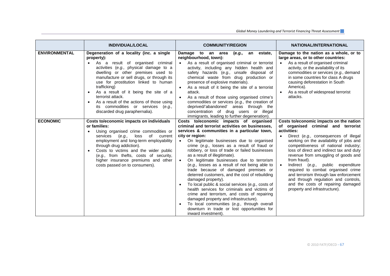|                      | <b>INDIVIDUAL/LOCAL</b>                                                                                                                                                                                                                                                                                                                                                                                                                                                                        | <b>COMMUNITY/REGION</b>                                                                                                                                                                                                                                                                                                                                                                                                                                                                                                                                                                                                                                                                                                                                                                                                                                                                                 | NATIONAL/INTERNATIONAL                                                                                                                                                                                                                                                                                                                                                                                                                                                                                                                                            |
|----------------------|------------------------------------------------------------------------------------------------------------------------------------------------------------------------------------------------------------------------------------------------------------------------------------------------------------------------------------------------------------------------------------------------------------------------------------------------------------------------------------------------|---------------------------------------------------------------------------------------------------------------------------------------------------------------------------------------------------------------------------------------------------------------------------------------------------------------------------------------------------------------------------------------------------------------------------------------------------------------------------------------------------------------------------------------------------------------------------------------------------------------------------------------------------------------------------------------------------------------------------------------------------------------------------------------------------------------------------------------------------------------------------------------------------------|-------------------------------------------------------------------------------------------------------------------------------------------------------------------------------------------------------------------------------------------------------------------------------------------------------------------------------------------------------------------------------------------------------------------------------------------------------------------------------------------------------------------------------------------------------------------|
| <b>ENVIRONMENTAL</b> | Degeneration of a locality (inc. a single<br>property):<br>As a result of organised criminal<br>$\bullet$<br>activities (e.g., physical damage to a<br>dwelling or other premises used to<br>manufacture or sell drugs, or through its<br>use for prostitution linked to human<br>trafficking)<br>As a result of it being the site of a<br>$\bullet$<br>terrorist attack.<br>As a result of the actions of those using<br>its commodities or services (e.g.,<br>discarded drug paraphernalia). | Damage to an area<br>estate,<br>( <i>e.g.,</i> an<br>neighbourhood, town):<br>As a result of organised criminal or terrorist<br>$\bullet$<br>activity, including any hidden health and<br>safety hazards (e.g., unsafe disposal of<br>chemical waste from drug production or<br>presence of explosive materials).<br>As a result of it being the site of a terrorist<br>attack.<br>As a result of those using organised crime's<br>commodities or services (e.g., the creation of<br>deprived/'abandoned' areas through the<br>concentration of drug users or illegal<br>immigrants, leading to further degeneration).                                                                                                                                                                                                                                                                                  | Damage to the nation as a whole, or to<br>large areas, or to other countries:<br>As a result of organised criminal<br>$\bullet$<br>activity, or the availability of its<br>commodities or services (e.g., demand<br>in some countries for class A drugs<br>causing deforestation in South<br>America).<br>As a result of widespread terrorist<br>attacks.                                                                                                                                                                                                         |
| <b>ECONOMIC</b>      | Costs to/economic impacts on individuals<br>or families:<br>Using organised crime commodities or<br>loss<br>of current<br>services<br>(e.g.,<br>employment and long-term employability<br>through drug addiction).<br>Costs to victims and the wider public<br>$\bullet$<br>(e.g., from thefts, costs of security,<br>higher insurance premiums and other<br>costs passed on to consumers).                                                                                                    | Costs to/economic impacts of organised<br>criminal and terrorist activities on businesses,<br>services & communities in a particular town,<br>city or region:<br>On legitimate businesses due to organised<br>$\bullet$<br>crime (e.g., losses as a result of fraud or<br>robbery, or loss of trade or failed businesses<br>as a result of illegitimate).<br>On legitimate businesses due to terrorism<br>$\bullet$<br>(e.g., losses as a result of not being able to<br>trade because of damaged premises or<br>deterred customers, and the cost of rebuilding<br>damaged property).<br>To local public & social services (e.g., costs of<br>health services for criminals and victims of<br>crime and terrorism, and costs of repairing<br>damaged property and infrastructure).<br>To local communities (e.g., through overall<br>downturn in trade or lost opportunities for<br>inward investment). | Costs to/economic impacts on the nation<br>of organised criminal and terrorist<br>activities:<br>Direct (e.g., consequences of illegal<br>working on the availability of jobs and<br>competitiveness of national industry;<br>loss of direct and indirect tax and duty<br>revenue from smuggling of goods and<br>from fraud).<br>Indirect (e.g., public expenditure<br>required to combat organised crime<br>and terrorism through law enforcement<br>and through regulation and controls,<br>and the costs of repairing damaged<br>property and infrastructure). |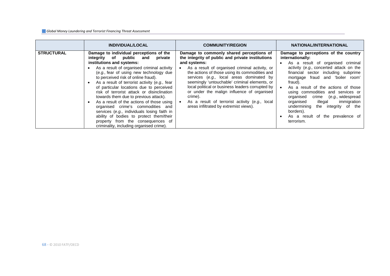|                   | <b>INDIVIDUAL/LOCAL</b>                                                                                                                                                                                                                                                                                                                                                                                                                                                                                                                                                                                                                                                                                  | <b>COMMUNITY/REGION</b>                                                                                                                                                                                                                                                                                                                                                                                                                                                                                                | <b>NATIONAL/INTERNATIONAL</b>                                                                                                                                                                                                                                                                                                                                                                                                                                                                          |
|-------------------|----------------------------------------------------------------------------------------------------------------------------------------------------------------------------------------------------------------------------------------------------------------------------------------------------------------------------------------------------------------------------------------------------------------------------------------------------------------------------------------------------------------------------------------------------------------------------------------------------------------------------------------------------------------------------------------------------------|------------------------------------------------------------------------------------------------------------------------------------------------------------------------------------------------------------------------------------------------------------------------------------------------------------------------------------------------------------------------------------------------------------------------------------------------------------------------------------------------------------------------|--------------------------------------------------------------------------------------------------------------------------------------------------------------------------------------------------------------------------------------------------------------------------------------------------------------------------------------------------------------------------------------------------------------------------------------------------------------------------------------------------------|
| <b>STRUCTURAL</b> | Damage to individual perceptions of the<br>integrity of public and<br>private<br>institutions and systems:<br>As a result of organised criminal activity<br>(e.g., fear of using new technology due<br>to perceived risk of online fraud).<br>As a result of terrorist activity (e.g., fear<br>$\bullet$<br>of particular locations due to perceived<br>risk of terrorist attack or disinclination<br>towards them due to previous attack).<br>As a result of the actions of those using<br>organised crime's commodities and<br>services (e.g., individuals losing faith in<br>ability of bodies to protect them/their<br>property from the consequences of<br>criminality, including organised crime). | Damage to commonly shared perceptions of<br>the integrity of public and private institutions<br>and systems:<br>As a result of organised criminal activity, or<br>the actions of those using its commodities and<br>services (e.g., local areas dominated by<br>seemingly 'untouchable' criminal elements, or<br>local political or business leaders corrupted by<br>or under the malign influence of organised<br>crime).<br>As a result of terrorist activity (e.g., local<br>areas infiltrated by extremist views). | Damage to perceptions of the country<br>internationally:<br>As a result of organised criminal<br>activity (e.g., concerted attack on the<br>financial sector including subprime<br>mortgage fraud and 'boiler room'<br>fraud).<br>As a result of the actions of those<br>$\bullet$<br>using commodities and services or<br>organised crime (e.g., widespread<br>illegal<br>immigration<br>organised<br>undermining the integrity of the<br>borders).<br>As a result of the prevalence of<br>terrorism. |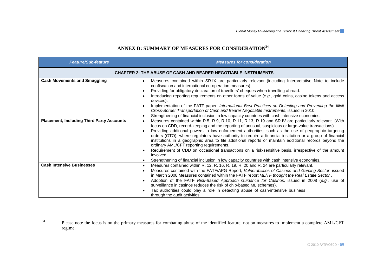# ANNEX D: SUMMARY OF MEASURES FOR CONSIDERATION<sup>34</sup>

| <b>Feature/Sub-feature</b>                                            | <b>Measures for consideration</b>                                                                                                                                                                                                                                                                                                                                                                                                                                                                                                                                                                                                                                                                                                                                                                                                                 |
|-----------------------------------------------------------------------|---------------------------------------------------------------------------------------------------------------------------------------------------------------------------------------------------------------------------------------------------------------------------------------------------------------------------------------------------------------------------------------------------------------------------------------------------------------------------------------------------------------------------------------------------------------------------------------------------------------------------------------------------------------------------------------------------------------------------------------------------------------------------------------------------------------------------------------------------|
| <b>CHAPTER 2: THE ABUSE OF CASH AND BEARER NEGOTIABLE INSTRUMENTS</b> |                                                                                                                                                                                                                                                                                                                                                                                                                                                                                                                                                                                                                                                                                                                                                                                                                                                   |
| <b>Cash Movements and Smuggling</b>                                   | Measures contained within SR IX are particularly relevant (including Interpretative Note to include<br>$\bullet$<br>confiscation and international co-operation measures).<br>Providing for obligatory declaration of travellers' cheques when travelling abroad.<br>$\bullet$<br>Introducing reporting requirements on other forms of value (e.g., gold coins, casino tokens and access<br>$\bullet$<br>devices).<br>Implementation of the FATF paper, International Best Practices on Detecting and Preventing the Illicit<br>$\bullet$<br>Cross-Border Transportation of Cash and Bearer Negotiable Instruments, issued in 2010.                                                                                                                                                                                                               |
|                                                                       | Strengthening of financial inclusion in low capacity countries with cash intensive economies.                                                                                                                                                                                                                                                                                                                                                                                                                                                                                                                                                                                                                                                                                                                                                     |
| <b>Placement, Including Third Party Accounts</b>                      | Measures contained within R.5, R.9, R.10, R.11, R.13, R.19 and SR IV are particularly relevant. (With<br>$\bullet$<br>focus on CDD, record-keeping and the reporting of unusual, suspicious or large-value transactions).<br>Providing additional powers to law enforcement authorities, such as the use of geographic targeting<br>orders (GTO), where regulators have authority to require a financial institution or a group of financial<br>institutions in a geographic area to file additional reports or maintain additional records beyond the<br>ordinary AML/CFT reporting requirements.<br>Requirement of CDD on occasional transactions on a risk-sensitive basis, irrespective of the amount<br>$\bullet$<br>involved.<br>Strengthening of financial inclusion in low capacity countries with cash intensive economies.<br>$\bullet$ |
| <b>Cash Intensive Businesses</b>                                      | Measures contained within R. 12, R. 16, R. 19, R. 20 and R. 24 are particularly relevant.<br>$\bullet$<br>Measures contained with the FATF/APG Report, Vulnerabilities of Casinos and Gaming Sector, issued<br>$\bullet$<br>in March 2008. Measures contained within the FATF report ML/TF thought the Real Estate Sector.<br>Adoption of the FATF Risk-Based Approach Guidance for Casinos, issued in 2008 (e.g., use of<br>$\bullet$<br>surveillance in casinos reduces the risk of chip-based ML schemes).<br>Tax authorities could play a role in detecting abuse of cash-intensive business<br>through the audit activities.                                                                                                                                                                                                                 |

-

<sup>&</sup>lt;sup>34</sup> Please note the focus is on the primary measures for combating abuse of the identified feature, not on measures to implement a complete AML/CFT regime.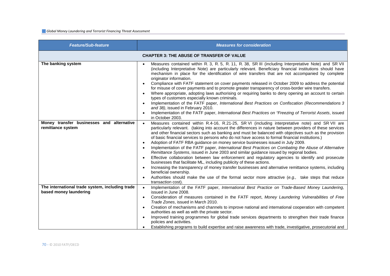| <b>Feature/Sub-feature</b>                                                | <b>Measures for consideration</b>                                                                                                                                                                                                                                                                                                                                                                                                                                                                                                                                                                                                                                                                                                                                                                                                                                                                                                                                                                                                                                                                                                                                                                                                           |
|---------------------------------------------------------------------------|---------------------------------------------------------------------------------------------------------------------------------------------------------------------------------------------------------------------------------------------------------------------------------------------------------------------------------------------------------------------------------------------------------------------------------------------------------------------------------------------------------------------------------------------------------------------------------------------------------------------------------------------------------------------------------------------------------------------------------------------------------------------------------------------------------------------------------------------------------------------------------------------------------------------------------------------------------------------------------------------------------------------------------------------------------------------------------------------------------------------------------------------------------------------------------------------------------------------------------------------|
| <b>CHAPTER 3: THE ABUSE OF TRANSFER OF VALUE</b>                          |                                                                                                                                                                                                                                                                                                                                                                                                                                                                                                                                                                                                                                                                                                                                                                                                                                                                                                                                                                                                                                                                                                                                                                                                                                             |
| The banking system                                                        | Measures contained within R. 3, R. 5, R. 11, R. 38, SR III (including Interpretative Note) and SR VII<br>(including Interpretative Note) are particularly relevant. Beneficiary financial institutions should have<br>mechanism in place for the identification of wire transfers that are not accompanied by complete<br>originator information.<br>Compliance with FATF statement on cover payments released in October 2009 to address the potential<br>$\bullet$<br>for misuse of cover payments and to promote greater transparency of cross-border wire transfers.<br>Where appropriate, adopting laws authorising or requiring banks to deny opening an account to certain<br>$\bullet$<br>types of customers especially known criminals.<br>Implementation of the FATF paper, International Best Practices on Confiscation (Recommendations 3<br>$\bullet$<br>and 38), issued in February 2010.<br>Implementation of the FATF paper, International Best Practices on "Freezing of Terrorist Assets, issued<br>in October 2003.                                                                                                                                                                                                      |
| Money transfer businesses and alternative<br>remittance system            | Measures contained within R.4-16, R.21-25, SR VI (including interpretative note) and SR VII are<br>$\bullet$<br>particularly relevant. (taking into account the differences in nature between providers of these services<br>and other financial sectors such as banking and must be balanced with objectives such as the provision<br>of basic financial services to persons who do not have access to formal financial institutions.)<br>Adoption of FATF RBA guidance on money service businesses issued in July 2009.<br>$\bullet$<br>Implementation of the FATF paper, International Best Practices on Combating the Abuse of Alternative<br>$\bullet$<br>Remittance Systems, issued in June 2003 and similar guidance issued by regional bodies.<br>Effective collaboration between law enforcement and regulatory agencies to identify and prosecute<br>$\bullet$<br>businesses that facilitate ML, including publicity of these actions.<br>Increasing the transparency of money transfer businesses and alternative remittance systems, including<br>$\bullet$<br>beneficial ownership.<br>Authorities should make the use of the formal sector more attractive $(e.g.,$ take steps that reduce<br>$\bullet$<br>transaction cost). |
| The international trade system, including trade<br>based money laundering | Implementation of the FATF paper, International Best Practice on Trade-Based Money Laundering,<br>$\bullet$<br>issued in June 2008.<br>Consideration of measures contained in the FATF report, Money Laundering Vulnerabilities of Free<br>$\bullet$<br>Trade Zones, issued in March 2010.<br>Creation of mechanisms and channels to improve national and international cooperation with competent<br>$\bullet$<br>authorities as well as with the private sector.<br>Improved training programmes for global trade services departments to strengthen their trade finance<br>$\bullet$<br>policies and activities.<br>Establishing programs to build expertise and raise awareness with trade, investigative, prosecutorial and                                                                                                                                                                                                                                                                                                                                                                                                                                                                                                            |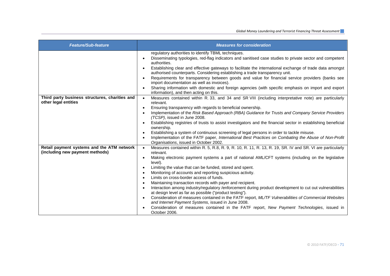| <b>Feature/Sub-feature</b>                                                    | <b>Measures for consideration</b>                                                                                                                                                                                                                                                                                                                                                                                                                                                                                                                                                                                                                                                                                                                                                                                                                                                                                                                                                                                        |
|-------------------------------------------------------------------------------|--------------------------------------------------------------------------------------------------------------------------------------------------------------------------------------------------------------------------------------------------------------------------------------------------------------------------------------------------------------------------------------------------------------------------------------------------------------------------------------------------------------------------------------------------------------------------------------------------------------------------------------------------------------------------------------------------------------------------------------------------------------------------------------------------------------------------------------------------------------------------------------------------------------------------------------------------------------------------------------------------------------------------|
|                                                                               | regulatory authorities to identify TBML techniques.<br>Disseminating typologies, red-flag indicators and sanitised case studies to private sector and competent<br>$\bullet$<br>authorities.<br>Establishing clear and effective gateways to facilitate the international exchange of trade data amongst<br>$\bullet$<br>authorised counterparts. Considering establishing a trade transparency unit.<br>Requirements for transparency between goods and value for financial service providers (banks see<br>$\bullet$<br>import documentation as well as invoices).<br>Sharing information with domestic and foreign agencies (with specific emphasis on import and export<br>information), and then acting on this.                                                                                                                                                                                                                                                                                                    |
| Third party business structures, charities and<br>other legal entities        | Measures contained within R. 33, and 34 and SR VIII (including interpretative note) are particularly<br>$\bullet$<br>relevant.<br>Ensuring transparency with regards to beneficial ownership.<br>$\bullet$<br>Implementation of the Risk Based Approach (RBA) Guidance for Trusts and Company Service Providers<br>$\bullet$<br>(TCSP), issued in June 2008.<br>Establishing registries of trusts to assist investigators and the financial sector in establishing beneficial<br>$\bullet$<br>ownership.<br>Establishing a system of continuous screening of legal persons in order to tackle misuse.<br>$\bullet$<br>Implementation of the FATF paper, International Best Practices on Combating the Abuse of Non-Profit<br>Organisations, issued in October 2002.                                                                                                                                                                                                                                                      |
| Retail payment systems and the ATM network<br>(including new payment methods) | Measures contained within R. 5, R.8, R. 9, R. 10, R. 11, R. 13, R. 19, SR. IV and SR. VI are particularly<br>$\bullet$<br>relevant.<br>Making electronic payment systems a part of national AML/CFT systems (including on the legislative<br>$\bullet$<br>level).<br>Limiting the value that can be funded, stored and spent.<br>$\bullet$<br>Monitoring of accounts and reporting suspicious activity.<br>$\bullet$<br>Limits on cross-border access of funds.<br>$\bullet$<br>Maintaining transaction records with payer and recipient.<br>$\bullet$<br>Interaction among industry/regulatory /enforcement during product development to cut out vulnerabilities<br>at design level as far as possible ("product testing").<br>Consideration of measures contained in the FATF report, ML/TF Vulnerabilities of Commercial Websites<br>$\bullet$<br>and Internet Payment Systems, issued in June 2008.<br>Consideration of measures contained in the FATF report, New Payment Technologies, issued in<br>October 2006. |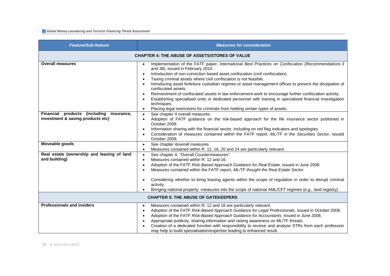| <b>Feature/Sub-feature</b>                                                       | <b>Measures for consideration</b>                                                                                                                                                                                                                                                                                                                                                                                                                                                                                                                                                                                                                                                                                                                                                                                                                  |
|----------------------------------------------------------------------------------|----------------------------------------------------------------------------------------------------------------------------------------------------------------------------------------------------------------------------------------------------------------------------------------------------------------------------------------------------------------------------------------------------------------------------------------------------------------------------------------------------------------------------------------------------------------------------------------------------------------------------------------------------------------------------------------------------------------------------------------------------------------------------------------------------------------------------------------------------|
| <b>CHAPTER 4: THE ABUSE OF ASSETS/STORES OF VALUE</b>                            |                                                                                                                                                                                                                                                                                                                                                                                                                                                                                                                                                                                                                                                                                                                                                                                                                                                    |
| <b>Overall measures</b>                                                          | Implementation of the FATF paper, International Best Practices on Confiscation (Recommendations 3<br>$\bullet$<br>and 38), issued in February 2010.<br>Introduction of non-conviction based asset confiscation (civil confiscation).<br>$\bullet$<br>Taxing criminal assets where civil confiscation is not feasible.<br>$\bullet$<br>Introducing asset forfeiture custodian regimes or asset management offices to prevent the dissipation of<br>$\bullet$<br>confiscated assets.<br>Reinvestment of confiscated assets in law enforcement work to encourage further confiscation activity.<br>$\bullet$<br>Establishing specialised units or dedicated personnel with training in specialised financial investigation<br>$\bullet$<br>techniques.<br>Placing legal restrictions for criminals from holding certain types of assets.<br>$\bullet$ |
| Financial products (including<br>insurance,<br>investment & saving products etc) | See chapter 4 overall measures.<br>$\bullet$<br>Adoption of FATF guidance on the risk-based approach for the life insurance sector published in<br>$\bullet$<br>October 2009.<br>Information sharing with the financial sector, including on red flag indicators and typologies.<br>$\bullet$<br>Consideration of measures contained within the FATF report, ML/TF in the Securities Sector, issued<br>$\bullet$<br>October 2009.                                                                                                                                                                                                                                                                                                                                                                                                                  |
| Moveable goods                                                                   | See chapter 4overall measures<br>$\bullet$<br>Measures contained within R. 12, 16, 20 and 24 are particularly relevant.<br>$\bullet$                                                                                                                                                                                                                                                                                                                                                                                                                                                                                                                                                                                                                                                                                                               |
| Real estate (ownership and leasing of land<br>and building)                      | See chapter 4, "Overall Countermeasures".<br>$\bullet$<br>Measures contained within R. 12 and 16.<br>$\bullet$<br>Adoption of the FATF Risk-Based Approach Guidance for Real Estate, issued in June 2008.<br>$\bullet$<br>Measures contained within the FATF report, ML/TF thought the Real Estate Sector.<br>$\bullet$<br>Considering whether to bring leasing agents within the scope of regulation in order to disrupt criminal<br>$\bullet$<br>activity.<br>Bringing national property -measures into the scope of national AML/CFT regimes (e.g., land registry).                                                                                                                                                                                                                                                                             |
| <b>CHAPTER 5: THE ABUSE OF GATEKEEPERS</b>                                       |                                                                                                                                                                                                                                                                                                                                                                                                                                                                                                                                                                                                                                                                                                                                                                                                                                                    |
| <b>Professionals and insiders</b>                                                | Measures contained within R. 12 and 16 are particularly relevant.<br>$\bullet$<br>Adoption of the FATF Risk-Based Approach Guidance for Legal Professionals, issued in October 2008.<br>$\bullet$<br>Adoption of the FATF Risk-Based Approach Guidance for Accountants, issued in June 2008.<br>$\bullet$<br>Appropriate publicity, sharing information and raising awareness on ML/TF threats.<br>$\bullet$<br>Creation of a dedicated function with responsibility to receive and analyse STRs from each profession<br>may help to build specialisation/expertise leading to enhanced result.                                                                                                                                                                                                                                                    |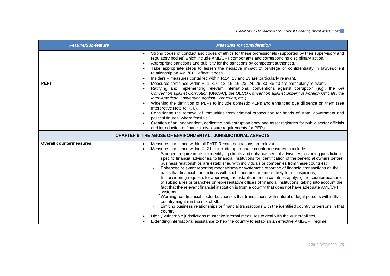| <b>Feature/Sub-feature</b>     | <b>Measures for consideration</b>                                                                                                                                                                                                                                                                                                                                                                                                                                                                                                                                                                                                                                                                                                                                                                                                                                                                                                                                                                                                                                                                                                                                                                                                                                                                                                                                                                                        |
|--------------------------------|--------------------------------------------------------------------------------------------------------------------------------------------------------------------------------------------------------------------------------------------------------------------------------------------------------------------------------------------------------------------------------------------------------------------------------------------------------------------------------------------------------------------------------------------------------------------------------------------------------------------------------------------------------------------------------------------------------------------------------------------------------------------------------------------------------------------------------------------------------------------------------------------------------------------------------------------------------------------------------------------------------------------------------------------------------------------------------------------------------------------------------------------------------------------------------------------------------------------------------------------------------------------------------------------------------------------------------------------------------------------------------------------------------------------------|
|                                | Strong codes of conduct and codes of ethics for these professionals (supported by their supervisory and<br>$\bullet$<br>regulatory bodies) which include AML/CFT components and corresponding disciplinary action.<br>Appropriate sanctions and publicity for the sanctions by competent authorities.<br>$\bullet$<br>Take appropriate steps to lessen the negative impact of privilege of confidentiality in lawyer/client<br>$\bullet$<br>relationship on AML/CFT effectiveness.<br>Insiders - measures contained within R.14, 15 and 23 are particularly relevant.<br>$\bullet$                                                                                                                                                                                                                                                                                                                                                                                                                                                                                                                                                                                                                                                                                                                                                                                                                                       |
| <b>PEPs</b>                    | Measures contained within R. 1, 3, 6, 13, 15, 16, 23, 24, 26, 30, 36-40 are particularly relevant.<br>$\bullet$<br>Ratifying and implementing relevant international conventions against corruption (e.g., the UN<br>$\bullet$<br>Convention against Corruption [UNCAC], the OECD Convention against Bribery of Foreign Officials, the<br>Inter-American Convention against Corruption, etc.).<br>Widening the definition of PEPs to include domestic PEPs and enhanced due diligence on them (see<br>$\bullet$<br>Interpretive Note to R. 6).<br>Considering the removal of immunities from criminal prosecution for heads of state, government and<br>$\bullet$<br>political figures, where feasible.<br>Creation of an independent, dedicated anti-corruption body and asset registries for public sector officials<br>$\bullet$<br>and introduction of financial disclosure requirements for PEPs.                                                                                                                                                                                                                                                                                                                                                                                                                                                                                                                   |
|                                | <b>CHAPTER 6: THE ABUSE OF ENVIRONMENTAL / JURISDICTIONAL ASPECTS</b>                                                                                                                                                                                                                                                                                                                                                                                                                                                                                                                                                                                                                                                                                                                                                                                                                                                                                                                                                                                                                                                                                                                                                                                                                                                                                                                                                    |
| <b>Overall countermeasures</b> | Measures contained within all FATF Recommendations are relevant.<br>$\bullet$<br>Measures contained within R. 21 to include appropriate countermeasures to include:<br>$\bullet$<br>Stringent requirements for identifying clients and enhancement of advisories, including jurisdiction-<br>specific financial advisories, to financial institutions for identification of the beneficial owners before<br>business relationships are established with individuals or companies from these countries;<br>Enhanced relevant reporting mechanisms or systematic reporting of financial transactions on the<br>basis that financial transactions with such countries are more likely to be suspicious;<br>In considering requests for approving the establishment in countries applying the countermeasure<br>of subsidiaries or branches or representative offices of financial institutions, taking into account the<br>fact that the relevant financial institution is from a country that does not have adequate AML/CFT<br>systems;<br>Warning non-financial sector businesses that transactions with natural or legal persons within that<br>country might run the risk of ML.<br>Limiting business relationships or financial transactions with the identified country or persons in that<br>country.<br>Highly vulnerable jurisdictions must take internal measures to deal with the vulnerabilities.<br>$\bullet$ |
|                                | Extending international assistance to hep the country to establish an effective AML/CFT regime.                                                                                                                                                                                                                                                                                                                                                                                                                                                                                                                                                                                                                                                                                                                                                                                                                                                                                                                                                                                                                                                                                                                                                                                                                                                                                                                          |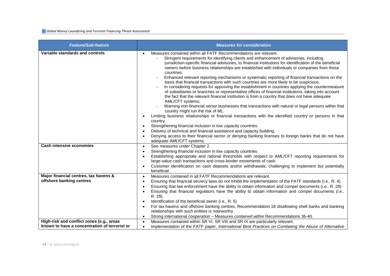## *Global Money Laundering and Terrorist Financing Threat Assessment*

| <b>Feature/Sub-feature</b>                                                                 | <b>Measures for consideration</b>                                                                                                                                                                                                                                                                                                                                                                                                                                                                                                                                                                                                                                                                                                                                                                                                                                                                                                                                                                                                                                                                                                                                                                                                                                                                                                                                                                                                                                                                                                |
|--------------------------------------------------------------------------------------------|----------------------------------------------------------------------------------------------------------------------------------------------------------------------------------------------------------------------------------------------------------------------------------------------------------------------------------------------------------------------------------------------------------------------------------------------------------------------------------------------------------------------------------------------------------------------------------------------------------------------------------------------------------------------------------------------------------------------------------------------------------------------------------------------------------------------------------------------------------------------------------------------------------------------------------------------------------------------------------------------------------------------------------------------------------------------------------------------------------------------------------------------------------------------------------------------------------------------------------------------------------------------------------------------------------------------------------------------------------------------------------------------------------------------------------------------------------------------------------------------------------------------------------|
| Variable standards and controls                                                            | Measures contained within all FATF Recommendations are relevant.<br>Stringent requirements for identifying clients and enhancement of advisories, including<br>jurisdiction-specific financial advisories, to financial institutions for identification of the beneficial<br>owners before business relationships are established with individuals or companies from these<br>countries:<br>Enhanced relevant reporting mechanisms or systematic reporting of financial transactions on the<br>basis that financial transactions with such countries are more likely to be suspicious;<br>In considering requests for approving the establishment in countries applying the countermeasure<br>of subsidiaries or branches or representative offices of financial institutions, taking into account<br>the fact that the relevant financial institution is from a country that does not have adequate<br>AML/CFT systems;<br>Warning non-financial sector businesses that transactions with natural or legal persons within that<br>country might run the risk of ML.<br>Limiting business relationships or financial transactions with the identified country or persons in that<br>$\bullet$<br>country.<br>Strengthening financial inclusion in low capacity countries.<br>$\bullet$<br>Delivery of technical and financial assistance and capacity building.<br>$\bullet$<br>Denying access to their financial sector or denying banking licenses to foreign banks that do not have<br>$\bullet$<br>adequate AML/CFT systems. |
| <b>Cash intensive economies</b><br>Major financial centres, tax havens &                   | See measures under Chapter 2.<br>$\bullet$<br>Strengthening financial inclusion in low capacity countries.<br>$\bullet$<br>Establishing appropriate and rational thresholds with respect to AML/CFT reporting requirements for<br>$\bullet$<br>large-value cash transactions and cross-border movements of cash.<br>Customer identification on cash deposits and/or withdrawals, challenging to implement but potentially<br>$\bullet$<br>beneficial.<br>Measures contained in all FATF Recommendations are relevant.<br>$\bullet$                                                                                                                                                                                                                                                                                                                                                                                                                                                                                                                                                                                                                                                                                                                                                                                                                                                                                                                                                                                               |
| offshore banking centres                                                                   | Ensuring that financial secrecy laws do not inhibit the implementation of the FATF standards (i.e., R. 4).<br>$\bullet$<br>Ensuring that law enforcement have the ability to obtain information and compel documents (i.e., R. 28)<br>$\bullet$<br>Ensuring that financial regulators have the ability to obtain information and compel documents (i.e.,<br>$\bullet$<br>R. 29).<br>Identification of the beneficial owner (i.e., R. 5)<br>$\bullet$<br>For tax havens and offshore banking centres, Recommendation 18 disallowing shell banks and banking<br>$\bullet$<br>relationships with such entities is noteworthy.<br>Strong international cooperation - Measures contained within Recommendations 36-40.<br>$\bullet$                                                                                                                                                                                                                                                                                                                                                                                                                                                                                                                                                                                                                                                                                                                                                                                                   |
| High-risk and conflict zones (e.g., areas<br>known to have a concentration of terrorist or | Measures contained within SR VI, SR VIII and SR IX are particularly relevant.<br>$\bullet$<br>Implementation of the FATF paper, International Best Practices on Combating the Abuse of Alternative<br>$\bullet$                                                                                                                                                                                                                                                                                                                                                                                                                                                                                                                                                                                                                                                                                                                                                                                                                                                                                                                                                                                                                                                                                                                                                                                                                                                                                                                  |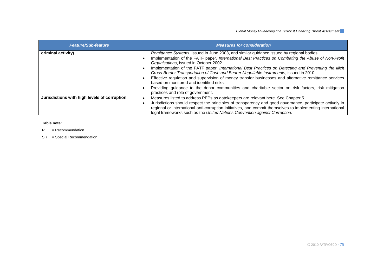| <b>Feature/Sub-feature</b>                   | <b>Measures for consideration</b>                                                                                                                                                                                                                                                                                                                                                                                                                                                                                                                                                                                                                                                                                                             |
|----------------------------------------------|-----------------------------------------------------------------------------------------------------------------------------------------------------------------------------------------------------------------------------------------------------------------------------------------------------------------------------------------------------------------------------------------------------------------------------------------------------------------------------------------------------------------------------------------------------------------------------------------------------------------------------------------------------------------------------------------------------------------------------------------------|
| criminal activity)                           | Remittance Systems, issued in June 2003, and similar guidance issued by regional bodies.<br>Implementation of the FATF paper, International Best Practices on Combating the Abuse of Non-Profit<br>Organisations, issued in October 2002.<br>Implementation of the FATF paper, International Best Practices on Detecting and Preventing the Illicit<br>Cross-Border Transportation of Cash and Bearer Negotiable Instruments, issued in 2010.<br>Effective regulation and supervision of money transfer businesses and alternative remittance services<br>based on monitored and identified risks.<br>Providing quidance to the donor communities and charitable sector on risk factors, risk mitigation<br>practices and role of government. |
| Jurisdictions with high levels of corruption | Measures listed to address PEPs as gatekeepers are relevant here. See Chapter 5<br>Jurisdictions should respect the principles of transparency and good governance, participate actively in<br>regional or international anti-corruption initiatives, and commit themselves to implementing international<br>legal frameworks such as the United Nations Convention against Corruption.                                                                                                                                                                                                                                                                                                                                                       |

## **Table note:**

- R. = Recommendation
- SR = Special Recommendation